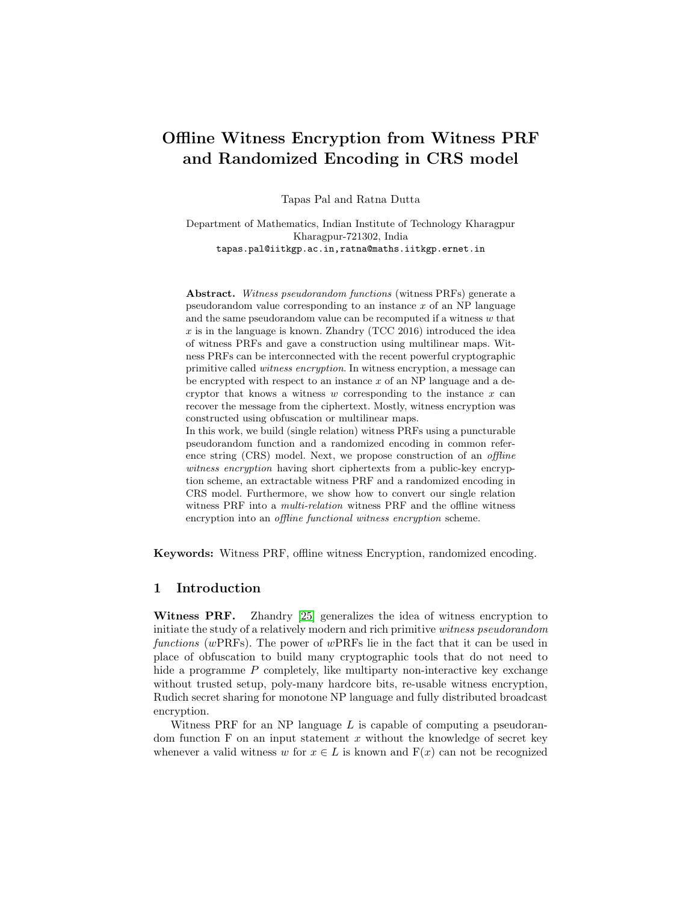# Offline Witness Encryption from Witness PRF and Randomized Encoding in CRS model

Tapas Pal and Ratna Dutta

Department of Mathematics, Indian Institute of Technology Kharagpur Kharagpur-721302, India tapas.pal@iitkgp.ac.in,ratna@maths.iitkgp.ernet.in

Abstract. Witness pseudorandom functions (witness PRFs) generate a pseudorandom value corresponding to an instance  $x$  of an NP language and the same pseudorandom value can be recomputed if a witness  $w$  that  $x$  is in the language is known. Zhandry (TCC 2016) introduced the idea of witness PRFs and gave a construction using multilinear maps. Witness PRFs can be interconnected with the recent powerful cryptographic primitive called witness encryption. In witness encryption, a message can be encrypted with respect to an instance  $x$  of an NP language and a decryptor that knows a witness  $w$  corresponding to the instance  $x$  can recover the message from the ciphertext. Mostly, witness encryption was constructed using obfuscation or multilinear maps. In this work, we build (single relation) witness PRFs using a puncturable

pseudorandom function and a randomized encoding in common reference string (CRS) model. Next, we propose construction of an offline witness encryption having short ciphertexts from a public-key encryption scheme, an extractable witness PRF and a randomized encoding in CRS model. Furthermore, we show how to convert our single relation witness PRF into a *multi-relation* witness PRF and the offline witness encryption into an *offline functional witness encryption* scheme.

Keywords: Witness PRF, offline witness Encryption, randomized encoding.

## 1 Introduction

Witness PRF. Zhandry [\[25\]](#page-18-0) generalizes the idea of witness encryption to initiate the study of a relatively modern and rich primitive witness pseudorandom functions (wPRFs). The power of wPRFs lie in the fact that it can be used in place of obfuscation to build many cryptographic tools that do not need to hide a programme  $P$  completely, like multiparty non-interactive key exchange without trusted setup, poly-many hardcore bits, re-usable witness encryption, Rudich secret sharing for monotone NP language and fully distributed broadcast encryption.

Witness PRF for an NP language  $L$  is capable of computing a pseudorandom function  $F$  on an input statement  $x$  without the knowledge of secret key whenever a valid witness w for  $x \in L$  is known and  $F(x)$  can not be recognized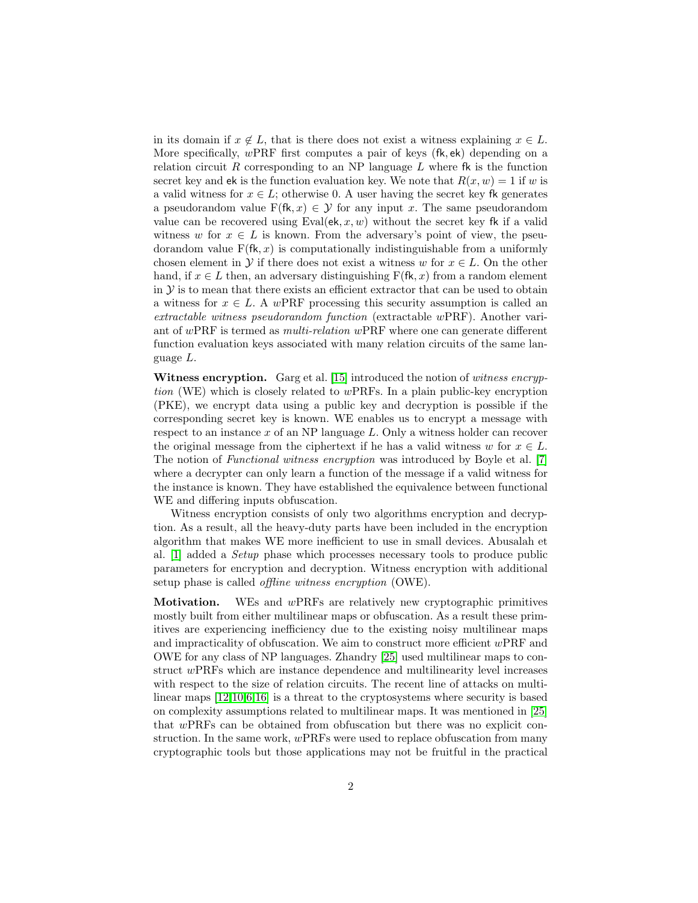in its domain if  $x \notin L$ , that is there does not exist a witness explaining  $x \in L$ . More specifically, wPRF first computes a pair of keys (fk, ek) depending on a relation circuit R corresponding to an NP language  $L$  where fk is the function secret key and ek is the function evaluation key. We note that  $R(x, w) = 1$  if w is a valid witness for  $x \in L$ ; otherwise 0. A user having the secret key fk generates a pseudorandom value  $F(fk, x) \in \mathcal{Y}$  for any input x. The same pseudorandom value can be recovered using Eval(ek, x, w) without the secret key fk if a valid witness w for  $x \in L$  is known. From the adversary's point of view, the pseudorandom value  $F(fk, x)$  is computationally indistinguishable from a uniformly chosen element in  $\mathcal Y$  if there does not exist a witness w for  $x \in L$ . On the other hand, if  $x \in L$  then, an adversary distinguishing  $F(fk, x)$  from a random element in  $\mathcal Y$  is to mean that there exists an efficient extractor that can be used to obtain a witness for  $x \in L$ . A wPRF processing this security assumption is called an extractable witness pseudorandom function (extractable wPRF). Another variant of wPRF is termed as multi-relation wPRF where one can generate different function evaluation keys associated with many relation circuits of the same language L.

Witness encryption. Garg et al. [\[15\]](#page-17-0) introduced the notion of witness encryption (WE) which is closely related to wPRFs. In a plain public-key encryption (PKE), we encrypt data using a public key and decryption is possible if the corresponding secret key is known. WE enables us to encrypt a message with respect to an instance  $x$  of an NP language  $L$ . Only a witness holder can recover the original message from the ciphertext if he has a valid witness w for  $x \in L$ . The notion of *Functional witness encryption* was introduced by Boyle et al. [\[7\]](#page-17-1) where a decrypter can only learn a function of the message if a valid witness for the instance is known. They have established the equivalence between functional WE and differing inputs obfuscation.

Witness encryption consists of only two algorithms encryption and decryption. As a result, all the heavy-duty parts have been included in the encryption algorithm that makes WE more inefficient to use in small devices. Abusalah et al. [\[1\]](#page-16-0) added a Setup phase which processes necessary tools to produce public parameters for encryption and decryption. Witness encryption with additional setup phase is called offline witness encryption (OWE).

Motivation. WEs and wPRFs are relatively new cryptographic primitives mostly built from either multilinear maps or obfuscation. As a result these primitives are experiencing inefficiency due to the existing noisy multilinear maps and impracticality of obfuscation. We aim to construct more efficient wPRF and OWE for any class of NP languages. Zhandry [\[25\]](#page-18-0) used multilinear maps to construct wPRFs which are instance dependence and multilinearity level increases with respect to the size of relation circuits. The recent line of attacks on multilinear maps [\[12,](#page-17-2)[10,](#page-17-3)[6](#page-17-4)[,16\]](#page-17-5) is a threat to the cryptosystems where security is based on complexity assumptions related to multilinear maps. It was mentioned in [\[25\]](#page-18-0) that wPRFs can be obtained from obfuscation but there was no explicit construction. In the same work, wPRFs were used to replace obfuscation from many cryptographic tools but those applications may not be fruitful in the practical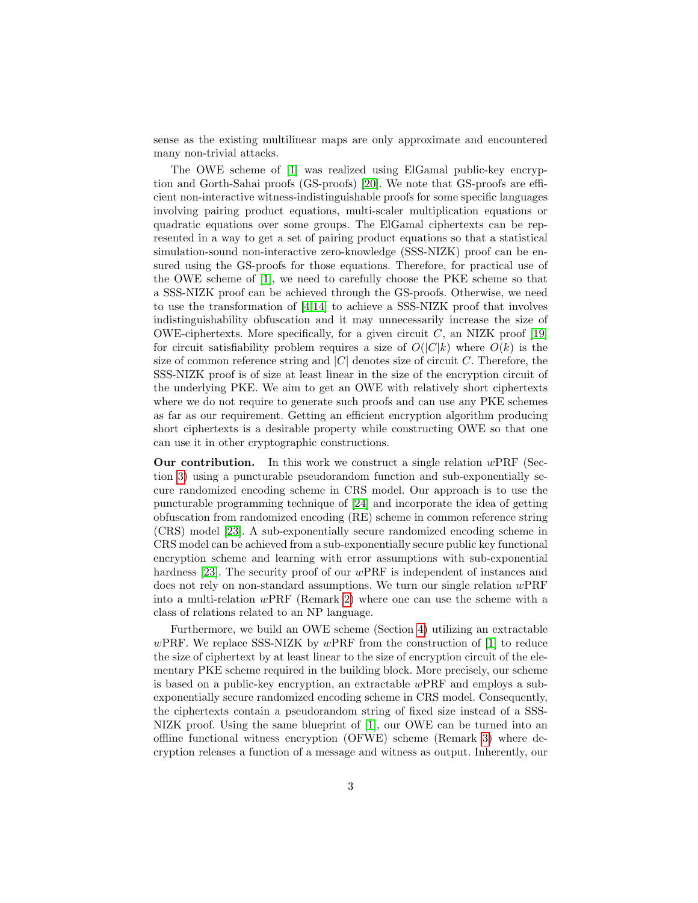sense as the existing multilinear maps are only approximate and encountered many non-trivial attacks.

The OWE scheme of [\[1\]](#page-16-0) was realized using ElGamal public-key encryption and Gorth-Sahai proofs (GS-proofs) [\[20\]](#page-17-6). We note that GS-proofs are efficient non-interactive witness-indistinguishable proofs for some specific languages involving pairing product equations, multi-scaler multiplication equations or quadratic equations over some groups. The ElGamal ciphertexts can be represented in a way to get a set of pairing product equations so that a statistical simulation-sound non-interactive zero-knowledge (SSS-NIZK) proof can be ensured using the GS-proofs for those equations. Therefore, for practical use of the OWE scheme of [\[1\]](#page-16-0), we need to carefully choose the PKE scheme so that a SSS-NIZK proof can be achieved through the GS-proofs. Otherwise, we need to use the transformation of [\[4,](#page-16-1)[14\]](#page-17-7) to achieve a SSS-NIZK proof that involves indistinguishability obfuscation and it may unnecessarily increase the size of OWE-ciphertexts. More specifically, for a given circuit  $C$ , an NIZK proof [\[19\]](#page-17-8) for circuit satisfiability problem requires a size of  $O(|C|k)$  where  $O(k)$  is the size of common reference string and  $|C|$  denotes size of circuit C. Therefore, the SSS-NIZK proof is of size at least linear in the size of the encryption circuit of the underlying PKE. We aim to get an OWE with relatively short ciphertexts where we do not require to generate such proofs and can use any PKE schemes as far as our requirement. Getting an efficient encryption algorithm producing short ciphertexts is a desirable property while constructing OWE so that one can use it in other cryptographic constructions.

**Our contribution.** In this work we construct a single relation  $wPRF$  (Section [3\)](#page-6-0) using a puncturable pseudorandom function and sub-exponentially secure randomized encoding scheme in CRS model. Our approach is to use the puncturable programming technique of [\[24\]](#page-18-1) and incorporate the idea of getting obfuscation from randomized encoding (RE) scheme in common reference string (CRS) model [\[23\]](#page-18-2). A sub-exponentially secure randomized encoding scheme in CRS model can be achieved from a sub-exponentially secure public key functional encryption scheme and learning with error assumptions with sub-exponential hardness [\[23\]](#page-18-2). The security proof of our wPRF is independent of instances and does not rely on non-standard assumptions. We turn our single relation  $wPRF$ into a multi-relation wPRF (Remark [2\)](#page-9-0) where one can use the scheme with a class of relations related to an NP language.

Furthermore, we build an OWE scheme (Section [4\)](#page-10-0) utilizing an extractable wPRF. We replace SSS-NIZK by wPRF from the construction of  $[1]$  to reduce the size of ciphertext by at least linear to the size of encryption circuit of the elementary PKE scheme required in the building block. More precisely, our scheme is based on a public-key encryption, an extractable wPRF and employs a subexponentially secure randomized encoding scheme in CRS model. Consequently, the ciphertexts contain a pseudorandom string of fixed size instead of a SSS-NIZK proof. Using the same blueprint of [\[1\]](#page-16-0), our OWE can be turned into an offline functional witness encryption (OFWE) scheme (Remark [3\)](#page-16-2) where decryption releases a function of a message and witness as output. Inherently, our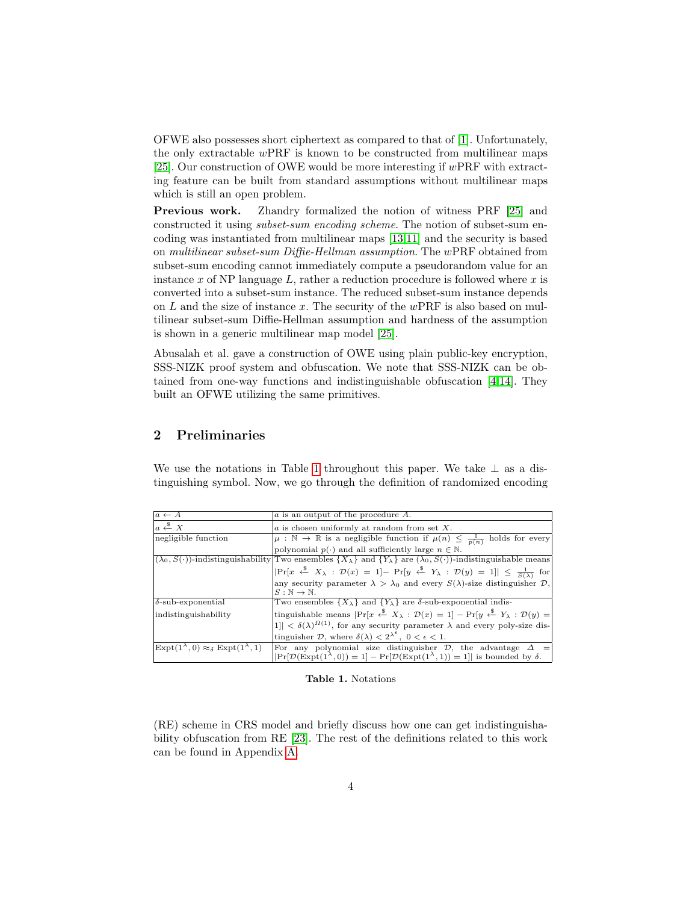OFWE also possesses short ciphertext as compared to that of [\[1\]](#page-16-0). Unfortunately, the only extractable  $w\text{PRF}$  is known to be constructed from multilinear maps [\[25\]](#page-18-0). Our construction of OWE would be more interesting if  $wPRF$  with extracting feature can be built from standard assumptions without multilinear maps which is still an open problem.

Previous work. Zhandry formalized the notion of witness PRF [\[25\]](#page-18-0) and constructed it using subset-sum encoding scheme. The notion of subset-sum encoding was instantiated from multilinear maps [\[13,](#page-17-9)[11\]](#page-17-10) and the security is based on multilinear subset-sum Diffie-Hellman assumption. The wPRF obtained from subset-sum encoding cannot immediately compute a pseudorandom value for an instance x of NP language L, rather a reduction procedure is followed where x is converted into a subset-sum instance. The reduced subset-sum instance depends on  $L$  and the size of instance x. The security of the wPRF is also based on multilinear subset-sum Diffie-Hellman assumption and hardness of the assumption is shown in a generic multilinear map model [\[25\]](#page-18-0).

Abusalah et al. gave a construction of OWE using plain public-key encryption, SSS-NIZK proof system and obfuscation. We note that SSS-NIZK can be obtained from one-way functions and indistinguishable obfuscation [\[4,](#page-16-1)[14\]](#page-17-7). They built an OFWE utilizing the same primitives.

## 2 Preliminaries

| We use the notations in Table 1 throughout this paper. We take $\perp$ as a dis- |  |  |  |  |  |
|----------------------------------------------------------------------------------|--|--|--|--|--|
| tinguishing symbol. Now, we go through the definition of randomized encoding     |  |  |  |  |  |

| $a \leftarrow A$                                                                       | a is an output of the procedure A.                                                                                                                                  |  |  |  |  |  |  |
|----------------------------------------------------------------------------------------|---------------------------------------------------------------------------------------------------------------------------------------------------------------------|--|--|--|--|--|--|
| $a \stackrel{\$}{\leftarrow} X$                                                        | $\alpha$ is chosen uniformly at random from set X.                                                                                                                  |  |  |  |  |  |  |
| negligible function                                                                    | $\mu:\mathbb{N}\to\mathbb{R}$ is a negligible function if $\mu(n)\leq \frac{1}{p(n)}$ holds for every                                                               |  |  |  |  |  |  |
|                                                                                        | polynomial $p(\cdot)$ and all sufficiently large $n \in \mathbb{N}$ .                                                                                               |  |  |  |  |  |  |
|                                                                                        | $(\lambda_0, S(\cdot))$ -indistinguishability Two ensembles $\{X_\lambda\}$ and $\{Y_\lambda\}$ are $(\lambda_0, S(\cdot))$ -indistinguishable means                |  |  |  |  |  |  |
|                                                                                        | $ \Pr[x \stackrel{\$}{\leftarrow} X_\lambda : \mathcal{D}(x) = 1] - \Pr[y \stackrel{\$}{\leftarrow} Y_\lambda : \mathcal{D}(y) = 1]  \leq \frac{1}{S(\lambda)}$ for |  |  |  |  |  |  |
|                                                                                        | any security parameter $\lambda > \lambda_0$ and every $S(\lambda)$ -size distinguisher $\mathcal{D}$ ,                                                             |  |  |  |  |  |  |
|                                                                                        | $S:\mathbb{N}\to\mathbb{N}.$                                                                                                                                        |  |  |  |  |  |  |
| $\delta$ -sub-exponential                                                              | Two ensembles $\{X_{\lambda}\}\$ and $\{Y_{\lambda}\}\$ are $\delta$ -sub-exponential indis-                                                                        |  |  |  |  |  |  |
| indistinguishability                                                                   | tinguishable means $ \Pr[x \stackrel{\$}{\leftarrow} X_\lambda : \mathcal{D}(x) = 1] - \Pr[y \stackrel{\$}{\leftarrow} Y_\lambda : \mathcal{D}(y) =$                |  |  |  |  |  |  |
|                                                                                        | $1] < \delta(\lambda)^{\Omega(1)}$ , for any security parameter $\lambda$ and every poly-size dis-                                                                  |  |  |  |  |  |  |
|                                                                                        | tinguisher $\mathcal{D}$ , where $\delta(\lambda) < 2^{\lambda^{\epsilon}}$ , $0 < \epsilon < 1$ .                                                                  |  |  |  |  |  |  |
| $\vert \text{Expt}(1^{\lambda}, 0) \approx_{\delta} \text{Expt}(1^{\lambda}, 1) \vert$ | For any polynomial size distinguisher $\mathcal{D}$ , the advantage $\Delta =$                                                                                      |  |  |  |  |  |  |
|                                                                                        | $ \Pr[\mathcal{D}(\text{Expt}(1^{\lambda},0))=1]-\Pr[\mathcal{D}(\text{Expt}(1^{\lambda},1))=1] $ is bounded by $\delta$ .                                          |  |  |  |  |  |  |

<span id="page-3-0"></span>Table 1. Notations

(RE) scheme in CRS model and briefly discuss how one can get indistinguishability obfuscation from RE [\[23\]](#page-18-2). The rest of the definitions related to this work can be found in Appendix [A.](#page-18-3)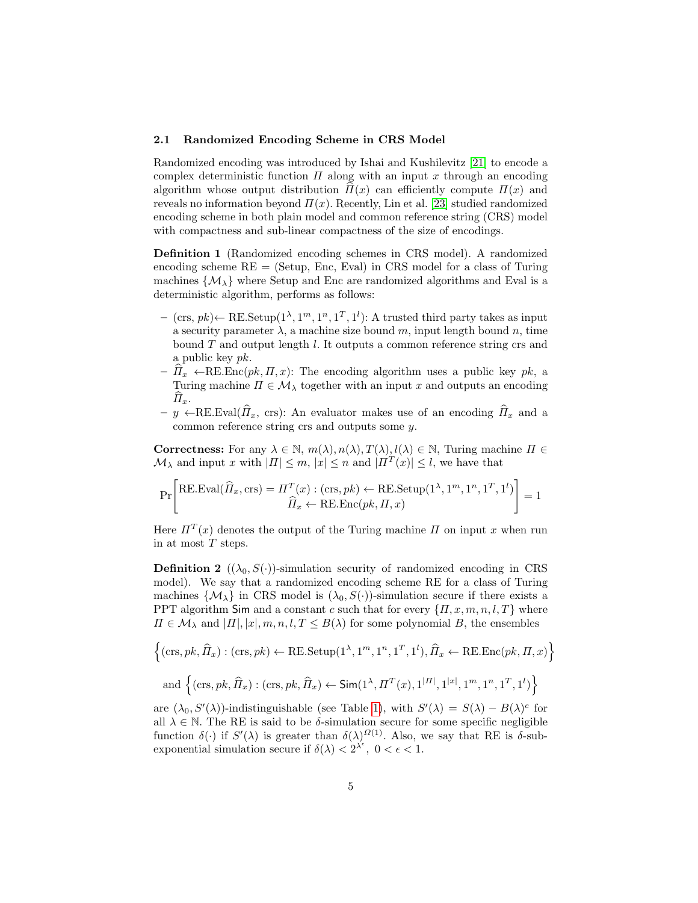#### 2.1 Randomized Encoding Scheme in CRS Model

Randomized encoding was introduced by Ishai and Kushilevitz [\[21\]](#page-17-11) to encode a complex deterministic function  $\Pi$  along with an input x through an encoding algorithm whose output distribution  $\Pi(x)$  can efficiently compute  $\Pi(x)$  and reveals no information beyond  $\Pi(x)$ . Recently, Lin et al. [\[23\]](#page-18-2) studied randomized encoding scheme in both plain model and common reference string (CRS) model with compactness and sub-linear compactness of the size of encodings.

Definition 1 (Randomized encoding schemes in CRS model). A randomized encoding scheme  $RE = (Setup, Enc, eval)$  in CRS model for a class of Turing machines  $\{M_{\lambda}\}\$  where Setup and Enc are randomized algorithms and Eval is a deterministic algorithm, performs as follows:

- $-$  (crs, pk) ← RE.Setup( $1^{\lambda}, 1^m, 1^n, 1^T, 1^l$ ): A trusted third party takes as input a security parameter  $\lambda$ , a machine size bound m, input length bound n, time bound  $T$  and output length  $l$ . It outputs a common reference string crs and a public key pk.
- $-\widehat{H}_x \leftarrow \text{RE}.\text{Enc}(pk, H, x)$ : The encoding algorithm uses a public key pk, a Turing machine  $\Pi \in \mathcal{M}_{\lambda}$  together with an input x and outputs an encoding  $\mathcal{H}_x$ .
- $y \leftarrow$ RE.Eval( $\hat{\Pi}_x$ , crs): An evaluator makes use of an encoding  $\hat{\Pi}_x$  and a common reference string crs and outputs some y.

Correctness: For any  $\lambda \in \mathbb{N}$ ,  $m(\lambda), n(\lambda), T(\lambda), l(\lambda) \in \mathbb{N}$ , Turing machine  $\Pi \in$  $\mathcal{M}_{\lambda}$  and input x with  $|\Pi| \leq m$ ,  $|x| \leq n$  and  $|\Pi^{T}(x)| \leq l$ , we have that

$$
\Pr\left[\text{RE.Eval}(\widehat{H}_x, \text{crs}) = \frac{\Pi^T(x) : (\text{crs}, pk) \leftarrow \text{RE.Setup}(1^{\lambda}, 1^m, 1^n, 1^T, 1^l)}{\widehat{H}_x \leftarrow \text{RE.Enc}(pk, \Pi, x)}\right] = 1
$$

Here  $\Pi^{T}(x)$  denotes the output of the Turing machine  $\Pi$  on input x when run in at most T steps.

<span id="page-4-1"></span>**Definition 2** ( $(\lambda_0, S(\cdot))$ -simulation security of randomized encoding in CRS model). We say that a randomized encoding scheme RE for a class of Turing machines  $\{\mathcal{M}_{\lambda}\}\$ in CRS model is  $(\lambda_0, S(\cdot))$ -simulation secure if there exists a PPT algorithm Sim and a constant c such that for every  $\{\Pi, x, m, n, l, T\}$  where  $\Pi \in \mathcal{M}_{\lambda}$  and  $|\Pi|, |x|, m, n, l, T \leq B(\lambda)$  for some polynomial B, the ensembles

$$
\left\{ (\text{crs},pk,\widehat{\varPi}_x) : (\text{crs},pk) \leftarrow \text{RE}.\text{Setup}(1^{\lambda},1^m,1^n,1^T,1^l), \widehat{\varPi}_x \leftarrow \text{RE}.\text{Enc}(pk,\varPi,x) \right\}
$$
  
and 
$$
\left\{ (\text{crs},pk,\widehat{\varPi}_x) : (\text{crs},pk,\widehat{\varPi}_x) \leftarrow \text{Sim}(1^{\lambda},\varPi^T(x),1^{|\varPi|},1^{|x|},1^m,1^n,1^T,1^l) \right\}
$$

<span id="page-4-0"></span>are  $(\lambda_0, S'(\lambda))$ -indistinguishable (see Table [1\)](#page-3-0), with  $S'(\lambda) = S(\lambda) - B(\lambda)^c$  for all  $\lambda \in \mathbb{N}$ . The RE is said to be  $\delta$ -simulation secure for some specific negligible function  $\delta(\cdot)$  if  $S'(\lambda)$  is greater than  $\delta(\lambda)^{O(1)}$ . Also, we say that RE is  $\delta$ -subexponential simulation secure if  $\delta(\lambda) < 2^{\lambda^{\epsilon}}$ ,  $0 < \epsilon < 1$ .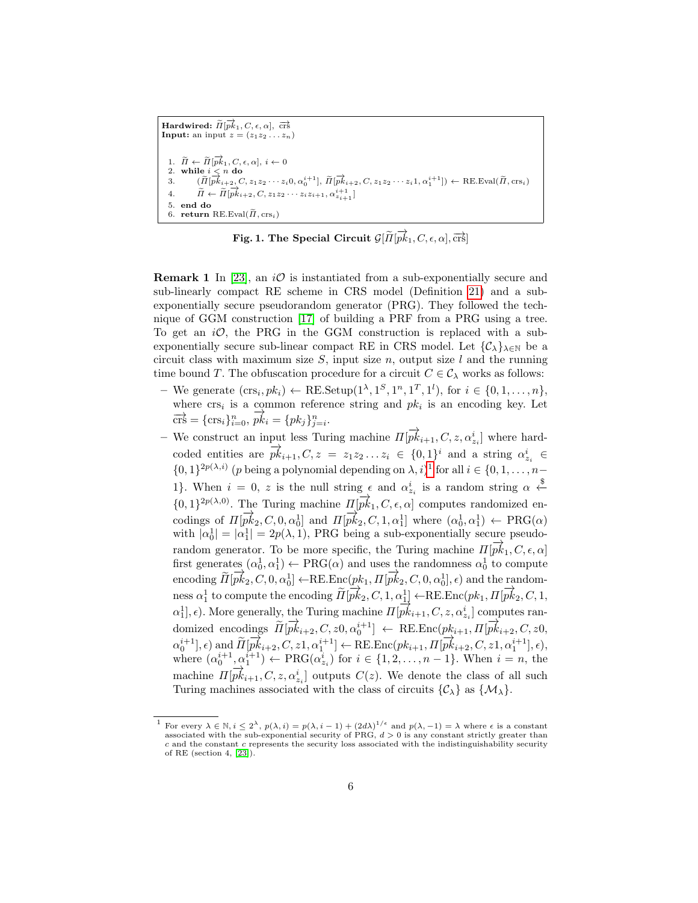```
\textbf{Hardwired: } \widetilde{H}[\overrightarrow{pk}_1, C, \epsilon, \alpha], \ \overrightarrow{\text{crs}}Input: an input z = (z_1z_2 \ldots z_n)1. \widetilde{\Pi} \leftarrow \widetilde{\Pi}[\overrightarrow{pk}_1, C, \epsilon, \alpha], i \leftarrow 02. while i < n do
    3. (\widetilde{\Pi}[\overline{pk}_{i+2}, C, z_1z_2 \cdots z_i0, \alpha_0^{i+1}], \widetilde{\Pi}[\overline{pk}_{i+2}, C, z_1z_2 \cdots z_i1, \alpha_1^{i+1}]) \leftarrow \text{RE.Eval}(\widetilde{\Pi}, \text{crs}_i)4. \widetilde{H} \leftarrow \widetilde{H}[\overrightarrow{pk}_{i+2}, C, z_1z_2 \cdots z_iz_{i+1}, \alpha_{z_{i+1}}^{i+1}]5. end do
   6. return RE.Eval(\tilde{\Pi}, \text{crs}_i)
```
Fig. 1. The Special Circuit  $\mathcal{G}[\widetilde{H}|\overrightarrow{pk}_1, C, \epsilon, \alpha], \overrightarrow{\mathrm{crs}}]$ 

<span id="page-5-1"></span>**Remark 1** In [\[23\]](#page-18-2), an  $i\mathcal{O}$  is instantiated from a sub-exponentially secure and sub-linearly compact RE scheme in CRS model (Definition [21\)](#page-25-0) and a subexponentially secure pseudorandom generator (PRG). They followed the technique of GGM construction [\[17\]](#page-17-12) of building a PRF from a PRG using a tree. To get an  $i\mathcal{O}$ , the PRG in the GGM construction is replaced with a subexponentially secure sub-linear compact RE in CRS model. Let  $\{\mathcal{C}_\lambda\}_{\lambda\in\mathbb{N}}$  be a circuit class with maximum size  $S$ , input size  $n$ , output size  $l$  and the running time bound T. The obfuscation procedure for a circuit  $C \in \mathcal{C}_{\lambda}$  works as follows:

- We generate  $(crs_i, pk_i) \leftarrow \text{RE}.\text{Setup}(1^{\lambda}, 1^S, 1^n, 1^T, 1^l)$ , for  $i \in \{0, 1, \ldots, n\},$ where  $\text{crs}_i$  is a common reference string and  $pk_i$  is an encoding key. Let  $\vec{crs} = {\rm{crs}}_i\}_{i=0}^n, \vec{pk}_i = {pk}_j\}_{j=i}^n$ .
- We construct an input less Turing machine  $\Pi[\overrightarrow{pk}_{i+1}, C, z, \alpha^i_{z_i}]$  where hardcoded entities are  $\overrightarrow{pk}_{i+1}, C, z = z_1z_2...z_i \in \{0,1\}^i$  and a string  $\alpha_{z_i}^i \in$  $\{0,1\}^{2p(\lambda,i)}$  $\{0,1\}^{2p(\lambda,i)}$  $\{0,1\}^{2p(\lambda,i)}$  (p being a polynomial depending on  $\lambda, i$ )<sup>1</sup> for all  $i \in \{0,1,\ldots,n-1\}$ 1}. When  $i = 0, z$  is the null string  $\epsilon$  and  $\alpha_{z_i}^i$  is a random string  $\alpha \stackrel{\$}{\leftarrow}$  ${0, 1}^{2p(\lambda,0)}$ . The Turing machine  $\Pi[\overrightarrow{pk}_1, C, \epsilon, \alpha]$  computes randomized encodings of  $\Pi[\vec{pk}_2, C, 0, \alpha_0^1]$  and  $\Pi[\vec{pk}_2, C, 1, \alpha_1^1]$  where  $(\alpha_0^1, \alpha_1^1) \leftarrow \text{PRG}(\alpha)$ with  $|\alpha_0^1| = |\alpha_1^1| = 2p(\lambda, 1)$ , PRG being a sub-exponentially secure pseudorandom generator. To be more specific, the Turing machine  $\Pi[\vec{p_k}_1, C, \epsilon, \alpha]$ first generates  $(\alpha_0^1, \alpha_1^1) \leftarrow \text{PRG}(\alpha)$  and uses the randomness  $\alpha_0^1$  to compute encoding  $\widetilde{H}[\overrightarrow{pk}_2, C, 0, \alpha_0^1] \leftarrow \text{RE}.\text{Enc}(pk_1, \Pi[\overrightarrow{pk}_2, C, 0, \alpha_0^1], \epsilon)$  and the random- $\lim_{n \to \infty} \alpha_1^1$  to compute the encoding  $\widetilde{H}[\overrightarrow{pk}_2, C, 1, \alpha_1^1] \leftarrow \text{RE}.\text{Enc}(pk_1, \Pi[\overrightarrow{pk}_2, C, 1, \alpha_1^1])$  $\alpha_1^1$ ,  $\epsilon$ ). More generally, the Turing machine  $\Pi[\overline{pk}_{i+1}, C, z, \alpha_{z_i}^i]$  computes randomized encodings  $\widetilde{H}[\overrightarrow{pk}_{i+2}, C, z0, \alpha_0^{i+1}] \leftarrow \text{RE}.\text{Enc}(pk_{i+1}, \Pi[\overrightarrow{pk}_{i+2}, C, z0, \overrightarrow{p}_{i+1}^{i+1}, \dots, \overrightarrow{pk}_{i+2}^{i+1}]$  $\alpha_0^{i+1}, \epsilon)$  and  $\widetilde{H}[\overrightarrow{pk}_{i+2}, C, z1, \alpha_1^{i+1}] \leftarrow \text{RE}.\text{Enc}(pk_{i+1}, \Pi[\overrightarrow{pk}_{i+2}, C, z1, \alpha_1^{i+1}], \epsilon),$ where  $(\alpha_0^{i+1}, \alpha_1^{i+1}) \leftarrow \text{PRG}(\alpha_{z_i}^i)$  for  $i \in \{1, 2, ..., n-1\}$ . When  $i = n$ , the machine  $\Pi[\overrightarrow{pk}_{i+1}, C, z, \alpha_{z_i}^i]$  outputs  $C(z)$ . We denote the class of all such Turing machines associated with the class of circuits  $\{\mathcal{C}_{\lambda}\}\$ as  $\{\mathcal{M}_{\lambda}\}.$

<span id="page-5-0"></span><sup>&</sup>lt;sup>1</sup> For every  $\lambda \in \mathbb{N}, i \leq 2^{\lambda}, p(\lambda, i) = p(\lambda, i - 1) + (2d\lambda)^{1/\epsilon}$  and  $p(\lambda, -1) = \lambda$  where  $\epsilon$  is a constant associated with the sub-exponential security of PRG,  $d > 0$  is any constant strictly greater than c and the constant c represents the security loss associated with the indistinguishability security of RE (section 4, [\[23\]](#page-18-2)).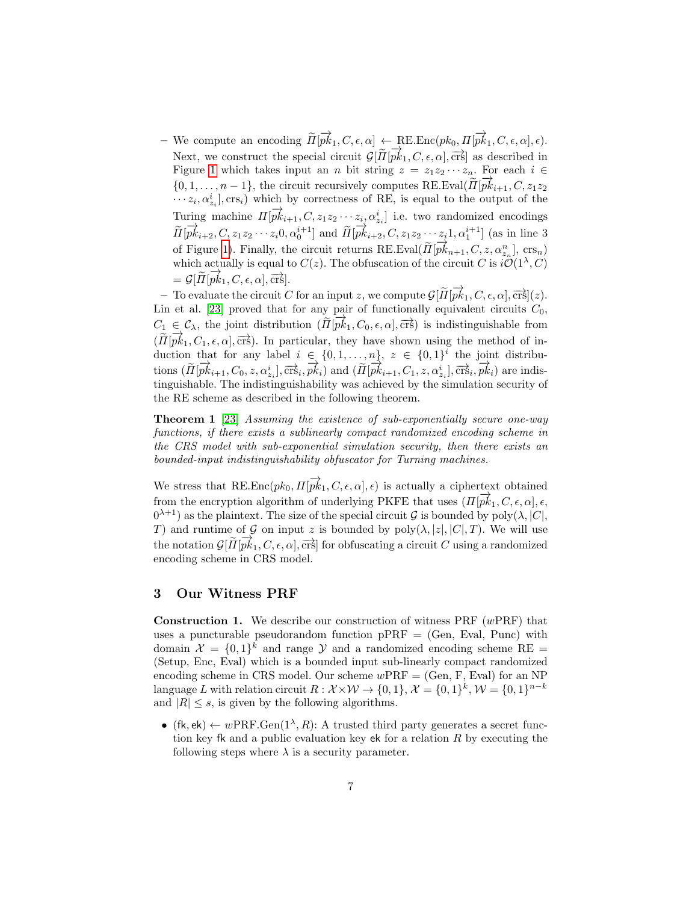- We compute an encoding  $\widetilde{H}[\overrightarrow{pk}_1, C, \epsilon, \alpha] \leftarrow \text{RE}.\text{Enc}(pk_0, \overrightarrow{H[\overrightarrow{pk}_1, C, \epsilon, \alpha]}, \epsilon).$ Next, we construct the special circuit  $\mathcal{G}[\tilde{\Pi}[\vec{pk}_1, C, \epsilon, \alpha], \vec{crs}]$  as described in Figure [1](#page-5-1) which takes input an n bit string  $z = z_1z_2 \cdots z_n$ . For each  $i \in$  ${0, 1, \ldots, n-1}$ , the circuit recursively computes RE. Eval( $\widetilde{\Pi}[\overrightarrow{pk}_{i+1}, C, z_1z_2]$  $\cdots z_i, \alpha_{z_i}^i$ ,  $\text{crs}_i$ ) which by correctness of RE, is equal to the output of the Turing machine  $\Pi[\overrightarrow{pk}_{i+1}, C, z_1z_2 \cdots z_i, \alpha_{z_i}^i]$  i.e. two randomized encodings  $\widetilde{\Pi}[\overrightarrow{pk}_{i+2}, C, z_1z_2\cdots z_i0, \alpha_0^{i+1}]$  and  $\widetilde{\Pi}[\overrightarrow{pk}_{i+2}, C, z_1z_2\cdots z_i1, \alpha_1^{i+1}]$  (as in line 3 of Figure [1\)](#page-5-1). Finally, the circuit returns RE.Eval( $\tilde{\Pi}[\vec{pk}_{n+1}, C, z, \alpha_n^n]$ , crs<sub>n</sub>), crs<sub>n</sub>) which actually is equal to  $C(z)$ . The obfuscation of the circuit C is  $i\mathcal{O}(1^{\lambda}, C)$  $= G[\widetilde{H}[\overrightarrow{pk}_1, C, \epsilon, \alpha], \overrightarrow{\mathrm{crs}}].$ 

 $-$  To evaluate the circuit C for an input z, we compute  $\mathcal{G}[\tilde{\Pi}[\vec{pk}_1, C, \epsilon, \alpha], \vec{crs}](z)$ . Lin et al. [\[23\]](#page-18-2) proved that for any pair of functionally equivalent circuits  $C_0$ ,  $C_1 \nightharpoonup C_\lambda$ , the joint distribution  $(\widetilde{H}[\overrightarrow{pk}_1, C_0, \epsilon, \alpha], \overrightarrow{\mathrm{crs}})$  is indistinguishable from  $(\widetilde{H}[p\vec{k}_1, C_1, \epsilon, \alpha], \overline{\text{crs}})$ . In particular, they have shown using the method of induction that for any label  $i \in \{0, 1, ..., n\}, z \in \{0, 1\}^i$  the joint distributions  $(\widetilde{\Pi}[\overrightarrow{pk}_{i+1}, C_0, z, \alpha_{z_i}^i], \overrightarrow{\text{crs}}_i, \overrightarrow{pk}_i)$  and  $(\widetilde{\Pi}[\overrightarrow{pk}_{i+1}, C_1, z, \alpha_{z_i}^i], \overrightarrow{\text{crs}}_i, \overrightarrow{pk}_i)$  are indistinguishable. The indistinguishability was achieved by the simulation security of the RE scheme as described in the following theorem.

Theorem 1 [\[23\]](#page-18-2) Assuming the existence of sub-exponentially secure one-way functions, if there exists a sublinearly compact randomized encoding scheme in the CRS model with sub-exponential simulation security, then there exists an bounded-input indistinguishability obfuscator for Turning machines.

We stress that RE.Enc $(pk_0, \Pi[\overrightarrow{pk}_1, C, \epsilon, \alpha], \epsilon)$  is actually a ciphertext obtained from the encryption algorithm of underlying PKFE that uses  $(\Pi[\vec{pk}_1, C, \epsilon, \alpha], \epsilon,$  $(0^{\lambda+1})$  as the plaintext. The size of the special circuit G is bounded by  $poly(\lambda, |C|,$ T) and runtime of G on input z is bounded by  $poly(\lambda, |z|, |C|, T)$ . We will use the notation  $\mathcal{G}[\tilde{\Pi}[\vec{pk}_1, C, \epsilon, \alpha], \vec{crs}]$  for obfuscating a circuit C using a randomized encoding scheme in CRS model.

## <span id="page-6-0"></span>3 Our Witness PRF

**Construction 1.** We describe our construction of witness  $PRF(wPRF)$  that uses a puncturable pseudorandom function  $pPRF = (Gen, Eval, Punc)$  with domain  $\mathcal{X} = \{0,1\}^k$  and range  $\mathcal{Y}$  and a randomized encoding scheme RE (Setup, Enc, Eval) which is a bounded input sub-linearly compact randomized encoding scheme in CRS model. Our scheme  $wPRF = (Gen, F, Eval)$  for an NP language L with relation circuit  $R: \mathcal{X} \times \mathcal{W} \rightarrow \{0,1\}, \mathcal{X} = \{0,1\}^k, \mathcal{W} = \{0,1\}^{n-k}$ and  $|R| \leq s$ , is given by the following algorithms.

• (fk, ek)  $\leftarrow wPRF.Gen(1^{\lambda}, R)$ : A trusted third party generates a secret function key fk and a public evaluation key ek for a relation  $R$  by executing the following steps where  $\lambda$  is a security parameter.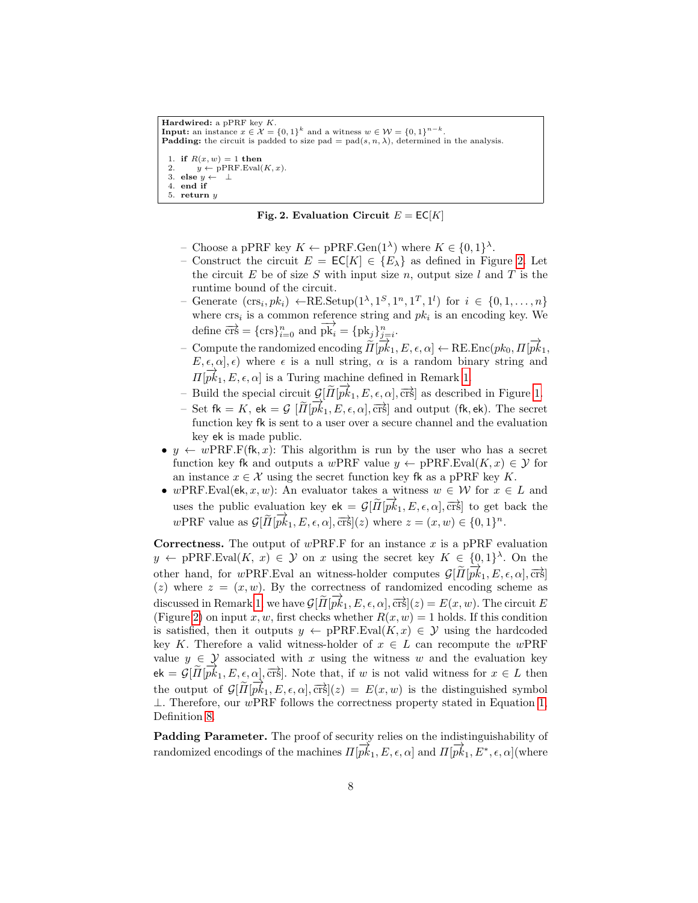```
Hardwired: a pPRF key K.
Input: an instance x \in \mathcal{X} = \{0,1\}^k and a witness w \in \mathcal{W} = \{0,1\}^{n-k}.
Padding: the circuit is padded to size pad = pad(s, n, \lambda), determined in the analysis.
 1. if R(x, w) = 1 then
         y \leftarrow pPRF.Eval(K, x).3. else y \leftarrow \perp4. end if
 5. return y
```
Fig. 2. Evaluation Circuit  $E = EC[K]$ 

- <span id="page-7-0"></span>- Choose a pPRF key  $K \leftarrow \text{pPRF.Gen}(1^{\lambda})$  where  $K \in \{0,1\}^{\lambda}$ .
- Construct the circuit  $E = \mathsf{EC}[K] \in \{E_\lambda\}$  as defined in Figure [2.](#page-7-0) Let the circuit E be of size S with input size n, output size  $l$  and T is the runtime bound of the circuit.
- Generate  $(crs_i, pk_i) \leftarrow \text{RE}.\text{Setup}(1^{\lambda}, 1^S, 1^n, 1^T, 1^l)$  for  $i \in \{0, 1, ..., n\}$ where  $\mathrm{crs}_i$  is a common reference string and  $pk_i$  is an encoding key. We define  $\overrightarrow{crs} = {\text{crs}}_{i=0}^n$  and  $\overrightarrow{pk}_i = {\text{pk}}_j}_{j=i}^n$ .
- Compute the randomized encoding  $\overrightarrow{H}[p\overrightarrow{k_1}, E, \epsilon, \alpha] \leftarrow \text{RE}.\text{Enc}(pk_0, \Pi[\overrightarrow{pk_1}, E, \epsilon, \alpha])$  $E, \epsilon, \alpha, \epsilon)$  where  $\epsilon$  is a null string,  $\alpha$  is a random binary string and  $\Pi[\vec{pk}_1, E, \epsilon, \alpha]$  is a Turing machine defined in Remark [1.](#page-4-0)
- $-$  Build the special circuit  $\mathcal{G}[\tilde{\Pi}[\vec{pk}_1, E, \epsilon, \alpha], \vec{crs}]$  as described in Figure [1.](#page-5-1)
- $-$  Set fk = K, ek = G  $[\tilde{H}[\overrightarrow{pk}_1, E, \epsilon, \alpha], \overrightarrow{crs}]$  and output (fk, ek). The secret function key fk is sent to a user over a secure channel and the evaluation key ek is made public.
- $y \leftarrow wPRF.F(fk, x)$ : This algorithm is run by the user who has a secret function key fk and outputs a wPRF value  $y \leftarrow pPRF.Eval(K, x) \in \mathcal{Y}$  for an instance  $x \in \mathcal{X}$  using the secret function key fk as a pPRF key K.
- wPRF.Eval(ek, x, w): An evaluator takes a witness  $w \in \mathcal{W}$  for  $x \in L$  and uses the public evaluation key  $ek = \mathcal{G}[\tilde{H}[\vec{pk}_1, E, \epsilon, \alpha], \vec{crs}]$  to get back the wPRF value as  $\mathcal{G}[\tilde{\Pi}[\vec{pk}_1, E, \epsilon, \alpha], \vec{crs}](z)$  where  $z = (x, w) \in \{0, 1\}^n$ .

**Correctness.** The output of  $wPRF.F$  for an instance x is a pPRF evaluation  $y \leftarrow \text{pPRF.Eval}(K, x) \in \mathcal{Y}$  on x using the secret key  $K \in \{0,1\}^{\lambda}$ . On the other hand, for wPRF.Eval an witness-holder computes  $\mathcal{G}[\tilde{H}[\vec{pk}_1, E, \epsilon, \alpha], \vec{crs}]$ (z) where  $z = (x, w)$ . By the correctness of randomized encoding scheme as discussed in Remark [1,](#page-4-0) we have  $\mathcal{G}[\tilde{H}[\vec{pk}_1, E, \epsilon, \alpha], \vec{crs}](z) = E(x, w)$ . The circuit E (Figure [2\)](#page-7-0) on input x, w, first checks whether  $R(x, w) = 1$  holds. If this condition is satisfied, then it outputs  $y \leftarrow pPRF.Eval(K, x) \in \mathcal{Y}$  using the hardcoded key K. Therefore a valid witness-holder of  $x \in L$  can recompute the wPRF value  $y \in \mathcal{Y}$  associated with x using the witness w and the evaluation key ek =  $G[\tilde{\Pi}[\overrightarrow{pk}_1, E, \epsilon, \alpha], \overrightarrow{crs}]$ . Note that, if w is not valid witness for  $x \in L$  then the output of  $\mathcal{G}[\widetilde{H}[\widetilde{pk}_1, E, \epsilon, \alpha], \overrightarrow{crs}](z) = E(x, w)$  is the distinguished symbol  $\perp$ . Therefore, our wPRF follows the correctness property stated in Equation [1,](#page-20-0) Definition [8.](#page-20-1)

Padding Parameter. The proof of security relies on the indistinguishability of randomized encodings of the machines  $\Pi[\overrightarrow{pk}_1, E, \epsilon, \alpha]$  and  $\Pi[\overrightarrow{pk}_1, E^*, \epsilon, \alpha]$  (where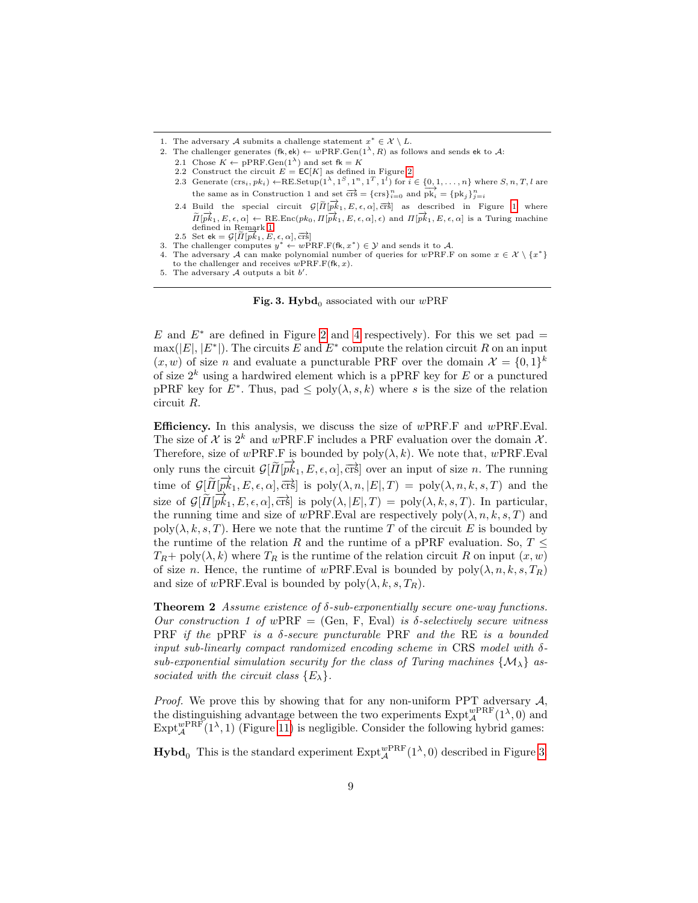- 2. The challenger generates  $(fk, ek) \leftarrow wPRF.Gen(1^{\lambda}, R)$  as follows and sends ek to A:
	- 2.1 Chose  $K \leftarrow \text{pPRF.Gen}(1^{\lambda})$  and set  $fk = K$
	- 2.2 Construct the circuit  $E = \mathsf{EC}[K]$  as defined in Figure [2](#page-7-0)
	- 2.3 Generate  $(crs_i, pk_i) \leftarrow \text{RE}$ . Setup $(1^{\lambda}, 1^S, 1^n, 1^T, 1^l)$  for  $i \in \{0, 1, \ldots, n\}$  where  $S, n, T, l$  are the same as in Construction 1 and set  $\overrightarrow{crs} = \{\text{crs}\}_{i=0}^n$  and  $\overrightarrow{pk}_i = \{pk_j\}_{j=i}^n$
	- 2.4 Build the special circuit  $\mathcal{G}[\tilde{\Pi}[\overrightarrow{pk}_1, E, \epsilon, \alpha], \overrightarrow{crs}]$  as described in Figure [1](#page-5-1) where  $\overrightarrow{n}$   $\overrightarrow{H}$ ,  $E$ ,  $\epsilon$ ,  $\alpha$ ] ← RE.Enc(pk<sub>0</sub>,  $\Pi[\overrightarrow{pk}_1, E, \epsilon, \alpha]$ ,  $\epsilon$ ) and  $\Pi[\overrightarrow{pk}_1, E, \epsilon, \alpha]$  is a Turing machine defined in Remark [1.](#page-4-0)
	- defined in Remark 1.<br>
	2.5 Set ek =  $\mathcal{G}[\widetilde{H}[p\vec{k}_1, E, \epsilon, \alpha], \overrightarrow{\text{crs}}]$
- 3. The challenger computes  $y^* \leftarrow w\overrightarrow{PRF.F(fk, x^*)} \in \mathcal{Y}$  and sends it to A.
- 4. The adversary A can make polynomial number of queries for wPRF.F on some  $x \in \mathcal{X} \setminus \{x^*\}$ to the challenger and receives  $w\text{PRF.F}(\text{\sf f}\text{\sf k},x)$ .

Fig. 3. Hybd<sub>0</sub> associated with our wPRF

E and  $E^*$  are defined in Figure [2](#page-7-0) and [4](#page-9-1) respectively). For this we set pad =  $\max(|E|, |E^*|)$ . The circuits E and  $E^*$  compute the relation circuit R on an input  $(x, w)$  of size *n* and evaluate a puncturable PRF over the domain  $\mathcal{X} = \{0, 1\}^k$ of size  $2^k$  using a hardwired element which is a pPRF key for E or a punctured pPRF key for  $E^*$ . Thus, pad  $\leq$  poly $(\lambda, s, k)$  where s is the size of the relation circuit R.

**Efficiency.** In this analysis, we discuss the size of  $w$ PRF.F and  $w$ PRF.Eval. The size of X is  $2^k$  and wPRF.F includes a PRF evaluation over the domain X. Therefore, size of wPRF.F is bounded by  $poly(\lambda, k)$ . We note that, wPRF.Eval only runs the circuit  $\mathcal{G}[\tilde{H}[\vec{pk}_1, E, \epsilon, \alpha], \vec{crs}]$  over an input of size *n*. The running time of  $\mathcal{G}[\tilde{\mu}[\vec{pk}_1, E, \epsilon, \alpha], \overrightarrow{\text{crs}}]$  is  $\text{poly}(\lambda, n, |E|, T) = \text{poly}(\lambda, n, k, s, T)$  and the size of  $G[\tilde{\Pi}[\vec{pk}_1, E, \epsilon, \alpha], \vec{crs}]$  is  $poly(\lambda, |E|, T) = poly(\lambda, k, s, T)$ . In particular, the running time and size of wPRF. Eval are respectively  $poly(\lambda, n, k, s, T)$  and  $poly(\lambda, k, s, T)$ . Here we note that the runtime T of the circuit E is bounded by the runtime of the relation R and the runtime of a pPRF evaluation. So,  $T \leq$  $T_R$ + poly $(\lambda, k)$  where  $T_R$  is the runtime of the relation circuit R on input  $(x, w)$ of size n. Hence, the runtime of wPRF.Eval is bounded by  $poly(\lambda, n, k, s, T_R)$ and size of wPRF. Eval is bounded by  $\text{poly}(\lambda, k, s, T_R)$ .

<span id="page-8-1"></span>**Theorem 2** Assume existence of  $\delta$ -sub-exponentially secure one-way functions. Our construction 1 of wPRF = (Gen, F, Eval) is  $\delta$ -selectively secure witness PRF if the pPRF is a  $\delta$ -secure puncturable PRF and the RE is a bounded input sub-linearly compact randomized encoding scheme in CRS model with  $\delta$ sub-exponential simulation security for the class of Turing machines  $\{M_{\lambda}\}\$ associated with the circuit class  $\{E_{\lambda}\}.$ 

*Proof.* We prove this by showing that for any non-uniform PPT adversary  $A$ , the distinguishing advantage between the two experiments  $\text{Expt}_{\mathcal{A}}^{wPRF}(1^{\lambda},0)$  and  $\text{Expt}_{\mathcal{A}}^{w \text{PRF}}(1^{\lambda}, 1)$  (Figure [11\)](#page-21-0) is negligible. Consider the following hybrid games:

**Hybd**<sup>0</sup> This is the standard experiment  $\text{Expt}_{\mathcal{A}}^{wPRF}(1^{\lambda},0)$  described in Figure [3.](#page-8-0)

<sup>1.</sup> The adversary A submits a challenge statement  $x^* \in \mathcal{X} \setminus L$ .

<span id="page-8-0"></span><sup>5.</sup> The adversary  $A$  outputs a bit  $b'$ .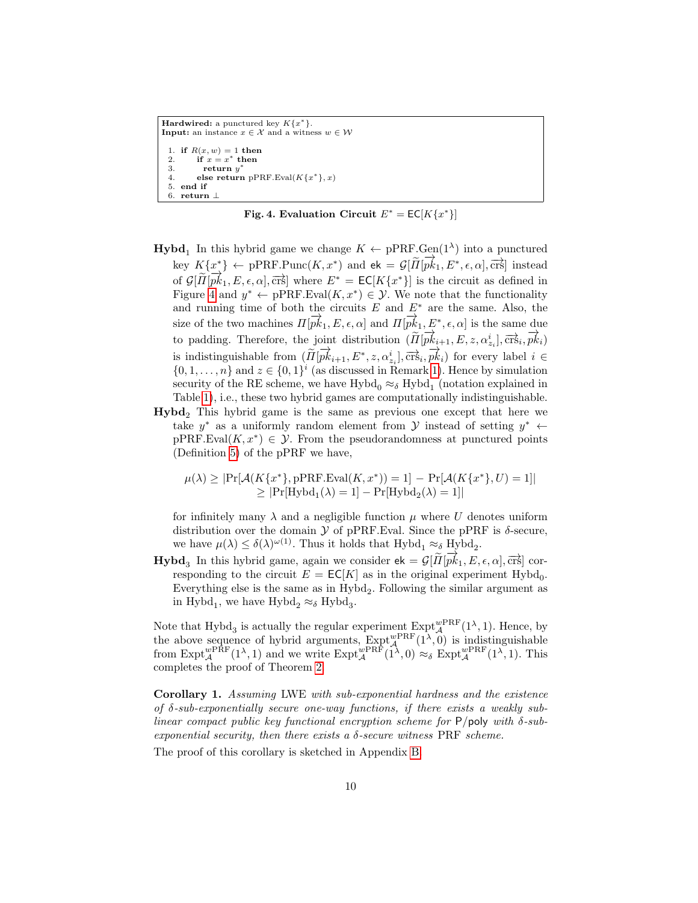```
Hardwired: a punctured key K\{x^*\}.Input: an instance x \in \mathcal{X} and a witness w \in \mathcal{W}1. if R(x, w) = 1 then
 2. if x = x^* then
 3. return y^*4. else return pPRF.Eval(K\{x^*\}, x)5. end if
 6. return ⊥
```
Fig. 4. Evaluation Circuit  $E^* = \mathsf{EC}[K\{x^*\}]$ 

- <span id="page-9-1"></span>**Hybd**<sub>1</sub> In this hybrid game we change  $K \leftarrow \text{pPRF.Gen}(1^{\lambda})$  into a punctured key  $K\{x^*\}\leftarrow$  pPRF.Punc $(K, x^*)$  and  $ek = \mathcal{G}[\widetilde{H}[\overrightarrow{pk}_1, E^*, \epsilon, \alpha], \overrightarrow{crs}]$  instead of  $G[\widetilde{\Pi}[p\vec{k_1}, E, \epsilon, \alpha], \overrightarrow{\text{crs}}]$  where  $E^* = \text{EC}[K\{x^*\}]$  is the circuit as defined in Figure [4](#page-9-1) and  $y^* \leftarrow pPRF.Eval(K, x^*) \in \mathcal{Y}$ . We note that the functionality and running time of both the circuits  $E$  and  $E^*$  are the same. Also, the size of the two machines  $\Pi[\overrightarrow{pk_1}, E, \epsilon, \alpha]$  and  $\Pi[\overrightarrow{pk_1}, E^*, \epsilon, \alpha]$  is the same due to padding. Therefore, the joint distribution  $(\widetilde{\Pi}[\overrightarrow{pk}_{i+1}, E, z, \alpha^i_{z_i}], \overrightarrow{crs}_i, \overrightarrow{pk}_i)$ is indistinguishable from  $(\widetilde{\Pi}[\overrightarrow{pk}_{i+1}, E^*, z, \alpha_{z_i}^i], \overrightarrow{\text{crs}}_i, \overrightarrow{pk}_i)$  for every label  $i \in$  $\{0, 1, \ldots, n\}$  and  $z \in \{0, 1\}^i$  (as discussed in Remark [1\)](#page-4-0). Hence by simulation security of the RE scheme, we have  $\mbox{Hybd}_0 \approx_\delta \mbox{Hybd}_1$  (notation explained in Table [1\)](#page-3-0), i.e., these two hybrid games are computationally indistinguishable.
- Hybd<sub>2</sub>, This hybrid game is the same as previous one except that here we take  $y^*$  as a uniformly random element from  $\mathcal Y$  instead of setting  $y^* \leftarrow$  $pPRF.Eval(K, x^*) \in \mathcal{Y}$ . From the pseudorandomness at punctured points (Definition [5\)](#page-18-4) of the pPRF we have,

$$
\mu(\lambda) \geq |\Pr[\mathcal{A}(K\{x^*\}, \text{pPRF.Eval}(K, x^*)) = 1] - \Pr[\mathcal{A}(K\{x^*\}, U) = 1]|
$$
  
 
$$
\geq |\Pr[\text{Hybd}_1(\lambda) = 1] - \Pr[\text{Hybd}_2(\lambda) = 1]|
$$

for infinitely many  $\lambda$  and a negligible function  $\mu$  where U denotes uniform distribution over the domain  $\mathcal Y$  of pPRF. Eval. Since the pPRF is  $\delta$ -secure, we have  $\mu(\lambda) \leq \delta(\lambda)^{\omega(1)}$ . Thus it holds that  $Hybd_1 \approx_{\delta} Hybd_2$ .

 $\text{Hybd}_3$  In this hybrid game, again we consider  $\mathbf{e} = \mathcal{G}[\tilde{H}[\vec{pk}_1, E, \epsilon, \alpha], \vec{cr}$  corresponding to the circuit  $E = \mathsf{EC}[K]$  as in the original experiment Hybd<sub>0</sub>. Everything else is the same as in  $Hybd<sub>2</sub>$ . Following the similar argument as in Hybd<sub>1</sub>, we have  $Hybd_2 \approx_{\delta} Hybd_3$ .

Note that Hybd<sub>3</sub> is actually the regular experiment  $\text{Expt}_{\mathcal{A}}^{wPRF}(1^{\lambda}, 1)$ . Hence, by the above sequence of hybrid arguments,  $\text{Expt}_{\mathcal{A}}^{wPRF}(1^{\lambda},0)$  is indistinguishable from  $\text{Expt}_{\mathcal{A}}^{wPRF}(1^{\lambda}, 1)$  and we write  $\text{Expt}_{\mathcal{A}}^{wPRF}(1^{\lambda}, 0) \approx_{\delta} \text{Expt}_{\mathcal{A}}^{wPRF}(1^{\lambda}, 1)$ . This completes the proof of Theorem [2.](#page-8-1)

<span id="page-9-2"></span>Corollary 1. Assuming LWE with sub-exponential hardness and the existence of δ-sub-exponentially secure one-way functions, if there exists a weakly sublinear compact public key functional encryption scheme for  $P$ /poly with  $\delta$ -subexponential security, then there exists a  $\delta$ -secure witness PRF scheme.

<span id="page-9-0"></span>The proof of this corollary is sketched in Appendix [B.](#page-26-0)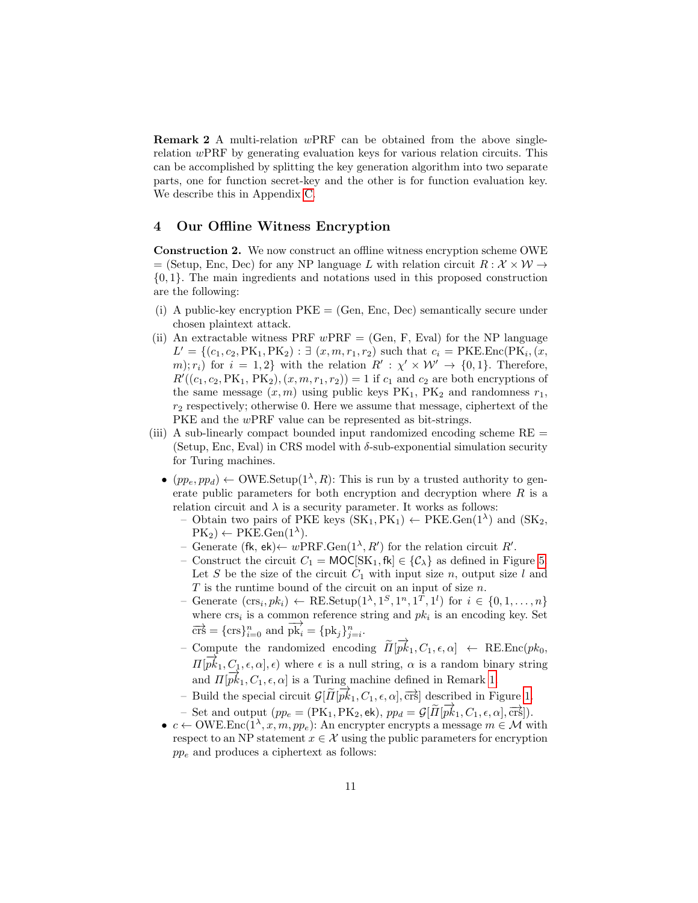**Remark 2** A multi-relation  $wPRF$  can be obtained from the above singlerelation  $wPRF$  by generating evaluation keys for various relation circuits. This can be accomplished by splitting the key generation algorithm into two separate parts, one for function secret-key and the other is for function evaluation key. We describe this in Appendix [C.](#page-27-0)

## <span id="page-10-0"></span>4 Our Offline Witness Encryption

Construction 2. We now construct an offline witness encryption scheme OWE = (Setup, Enc, Dec) for any NP language L with relation circuit  $R : \mathcal{X} \times \mathcal{W} \rightarrow$ {0, 1}. The main ingredients and notations used in this proposed construction are the following:

- (i) A public-key encryption  $PKE = (Gen, Enc, Dec)$  semantically secure under chosen plaintext attack.
- (ii) An extractable witness PRF  $wPRF = (Gen, F, Eval)$  for the NP language  $L' = \{(c_1, c_2, PK_1, PK_2) : \exists (x, m, r_1, r_2) \text{ such that } c_i = \text{PKE}.\text{Enc}(\text{PK}_i, (x, r_1, r_2))\}$ m);  $r_i$  for  $i = 1, 2$  with the relation  $R' : \chi' \times W' \to \{0, 1\}$ . Therefore,  $R'((c_1, c_2, PK_1, PK_2), (x, m, r_1, r_2)) = 1$  if  $c_1$  and  $c_2$  are both encryptions of the same message  $(x, m)$  using public keys  $PK_1$ ,  $PK_2$  and randomness  $r_1$ ,  $r<sub>2</sub>$  respectively; otherwise 0. Here we assume that message, ciphertext of the PKE and the wPRF value can be represented as bit-strings.
- (iii) A sub-linearly compact bounded input randomized encoding scheme RE = (Setup, Enc, Eval) in CRS model with  $\delta$ -sub-exponential simulation security for Turing machines.
	- $(pp_e, pp_d) \leftarrow \text{OWE}.\text{Setup}(1^{\lambda}, R)$ : This is run by a trusted authority to generate public parameters for both encryption and decryption where  $R$  is a relation circuit and  $\lambda$  is a security parameter. It works as follows:
		- Obtain two pairs of PKE keys  $(SK_1, PK_1) \leftarrow PKE.Gen(1^{\lambda})$  and  $(SK_2,$  $PK_2$ )  $\leftarrow$  PKE.Gen(1<sup> $\lambda$ </sup>).
		- Generate (fk, ek)← wPRF.Gen( $1^{\lambda}, R'$ ) for the relation circuit R'.
		- Construct the circuit  $C_1 = \text{MOC}[SK_1, \text{fk}] \in \{\mathcal{C}_\lambda\}$  as defined in Figure [5.](#page-11-0) Let S be the size of the circuit  $C_1$  with input size n, output size l and  $T$  is the runtime bound of the circuit on an input of size  $n$ .
		- Generate  $(crs_i, pk_i) \leftarrow \text{RE}.\text{Setup}(1^{\lambda}, 1^S, 1^n, 1^T, 1^l)$  for  $i \in \{0, 1, ..., n\}$ where  $\mathrm{crs}_i$  is a common reference string and  $pk_i$  is an encoding key. Set  $\overrightarrow{\text{crs}} = {\text{crs}}_{i=0}^n$  and  $\overrightarrow{\text{pk}}_i = {\text{pk}}_j_{j=i}^n$ .
		- Compute the randomized encoding  $\widetilde{H}[\overrightarrow{pk}_1, C_1, \epsilon, \alpha] \leftarrow \text{RE}.\text{Enc}(pk_0, \overrightarrow{p})$  $\Pi[\vec{pk}_1, C_1, \epsilon, \alpha], \epsilon)$  where  $\epsilon$  is a null string,  $\alpha$  is a random binary string and  $\Pi[\vec{pk}_1, C_1, \epsilon, \alpha]$  is a Turing machine defined in Remark [1.](#page-4-0)
		- Build the special circuit  $\mathcal{G}[\tilde{\Pi}[\vec{pk}_1, C_1, \epsilon, \alpha], \vec{crs}]$  described in Figure [1.](#page-5-1)
		- Set and output  $(pp_e = (\text{PK}_1, \text{PK}_2, \text{ek}), pp_d = \mathcal{G}[\tilde{\Pi}[\overrightarrow{pk}_1, C_1, \epsilon, \alpha], \overrightarrow{\text{crs}}]).$
	- $c \leftarrow \text{OWE}.\text{Enc}(1^{\lambda}, x, m, pp_e):$  An encrypter encrypts a message  $m \in \mathcal{M}$  with respect to an NP statement  $x \in \mathcal{X}$  using the public parameters for encryption  $pp_e$  and produces a ciphertext as follows: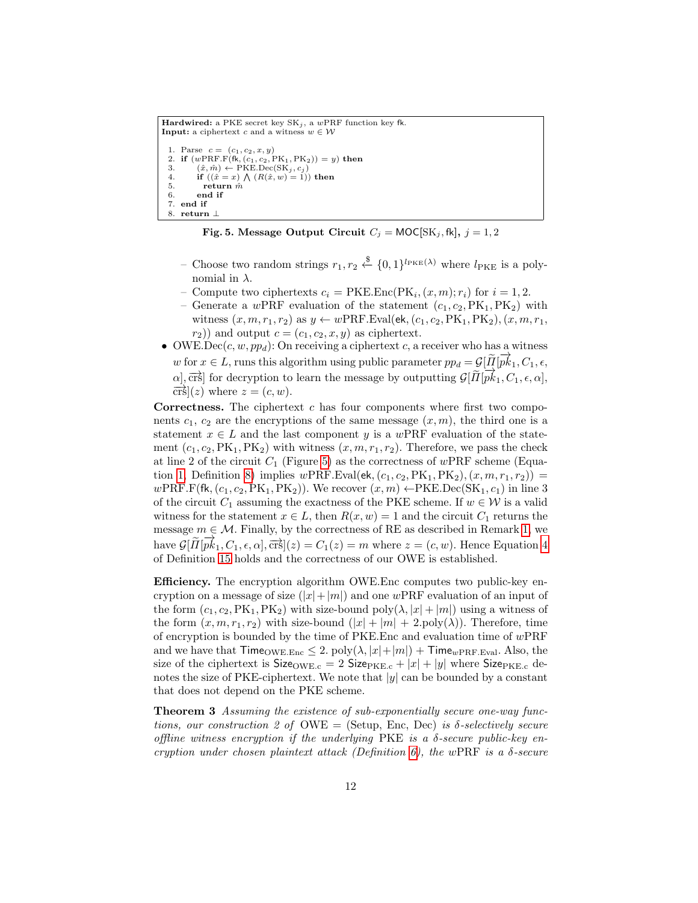```
Hardwired: a PKE secret key SK_j, a wPRF function key fk.
 Input: a ciphertext c and a witness w \in \mathcal{W}1. Parse c = (c_1, c_2, x, y)2. if (wPRE.F(\hat{\mathbf{f}}_k, (c_1, c_2, PK_1, PK_2)) = y) then<br>3. (\hat{x}, \hat{m}) \leftarrow PKE.Dec(SK_i, c_i)3. (\hat{x}, \hat{m}) \leftarrow \text{PKE.Dec}(\text{SK}_j, c_j)<br>4. if ((\hat{x} = x) \bigwedge (R(\hat{x}, w) = 1)) then
   5. return \hat{m}6. end if
   7. end if
   8. return
```
Fig. 5. Message Output Circuit  $C_j = \text{MOC}[SK_j, fk], j = 1, 2$ 

- <span id="page-11-0"></span>− Choose two random strings  $r_1, r_2 \stackrel{\$}{\leftarrow} \{0, 1\}^{l_{\text{PKE}}(\lambda)}$  where  $l_{\text{PKE}}$  is a polynomial in  $\lambda$ .
- Compute two ciphertexts  $c_i = \text{PKE}.\text{Enc}(\text{PK}_i,(x,m); r_i)$  for  $i = 1, 2$ .
- Generate a wPRF evaluation of the statement  $(c_1, c_2, PK_1, PK_2)$  with witness  $(x, m, r_1, r_2)$  as  $y \leftarrow wPRF.Eval(ek, (c_1, c_2, PK_1, PK_2), (x, m, r_1,$  $r_2$ )) and output  $c = (c_1, c_2, x, y)$  as ciphertext.
- OWE.Dec(c, w, ppd): On receiving a ciphertext c, a receiver who has a witness w for  $x \in L$ , runs this algorithm using public parameter  $pp_d = \mathcal{G}[\tilde{H}|\vec{pk}_1, C_1, \epsilon]$  $\alpha$ ,  $\overrightarrow{c}$  =  $\alpha$ , rans and algorithm daing passive parameter  $p_F a \rightarrow p_{\perp} a$ ,  $\overrightarrow{c}_1, \overrightarrow{c}_1, \overrightarrow{c}_1, \overrightarrow{c}_1, \overrightarrow{c}_1, \overrightarrow{c}_1, \overrightarrow{c}_1, \overrightarrow{c}_1, \overrightarrow{c}_1, \overrightarrow{c}_1, \overrightarrow{c}_1, \overrightarrow{c}_1, \overrightarrow{c}_1, \overrightarrow{c}_1, \overrightarrow{c}_1, \overrightarrow{c}_1, \overrightarrow{c}_1, \over$  $\overrightarrow{\mathrm{crs}}(z)$  where  $z = (c, w)$ .

**Correctness.** The ciphertext  $c$  has four components where first two components  $c_1, c_2$  are the encryptions of the same message  $(x, m)$ , the third one is a statement  $x \in L$  and the last component y is a wPRF evaluation of the statement  $(c_1, c_2, PK_1, PK_2)$  with witness  $(x, m, r_1, r_2)$ . Therefore, we pass the check at line 2 of the circuit  $C_1$  (Figure [5\)](#page-11-0) as the correctness of wPRF scheme (Equa-tion [1,](#page-20-0) Definition [8\)](#page-20-1) implies  $wPRF.Eval(ek, (c_1, c_2, PK_1, PK_2), (x, m, r_1, r_2)) =$ wPRF.F(fk,  $(c_1, c_2, PK_1, PK_2)$ ). We recover  $(x, m) \leftarrow PKE \cdot Dec(SK_1, c_1)$  in line 3 of the circuit  $C_1$  assuming the exactness of the PKE scheme. If  $w \in \mathcal{W}$  is a valid witness for the statement  $x \in L$ , then  $R(x, w) = 1$  and the circuit  $C_1$  returns the message  $m \in \mathcal{M}$ . Finally, by the correctness of RE as described in Remark [1,](#page-4-0) we have  $G[\widetilde{\Pi}[\overline{pk}_1, C_1, \epsilon, \alpha], \overline{\text{crs}}](z) = C_1(z) = m$  where  $z = (c, w)$ . Hence Equation [4](#page-24-0) of Definition [15](#page-23-0) holds and the correctness of our OWE is established.

Efficiency. The encryption algorithm OWE.Enc computes two public-key encryption on a message of size  $(|x|+|m|)$  and one wPRF evaluation of an input of the form  $(c_1, c_2, PK_1, PK_2)$  with size-bound  $poly(\lambda, |x| + |m|)$  using a witness of the form  $(x, m, r_1, r_2)$  with size-bound  $(|x| + |m| + 2$ .poly $(\lambda)$ ). Therefore, time of encryption is bounded by the time of PKE. Enc and evaluation time of  $wPRF$ and we have that  $\text{Time}_{\text{OWE.Enc}} \leq 2$ .  $\text{poly}(\lambda, |x| + |m|) + \text{Time}_{wPRF.Eval}$ . Also, the size of the ciphertext is  $Size_{OWE.c} = 2 Size_{PKE.c} + |x| + |y|$  where  $Size_{PKE.c}$  denotes the size of PKE-ciphertext. We note that  $|y|$  can be bounded by a constant that does not depend on the PKE scheme.

Theorem 3 Assuming the existence of sub-exponentially secure one-way functions, our construction 2 of  $\text{OWE} = (\text{Setup, Enc, Dec})$  is  $\delta\text{-selectively secure}$ offline witness encryption if the underlying  $PKE$  is a  $\delta$ -secure public-key en-cryption under chosen plaintext attack (Definition [6\)](#page-19-0), the wPRF is a  $\delta$ -secure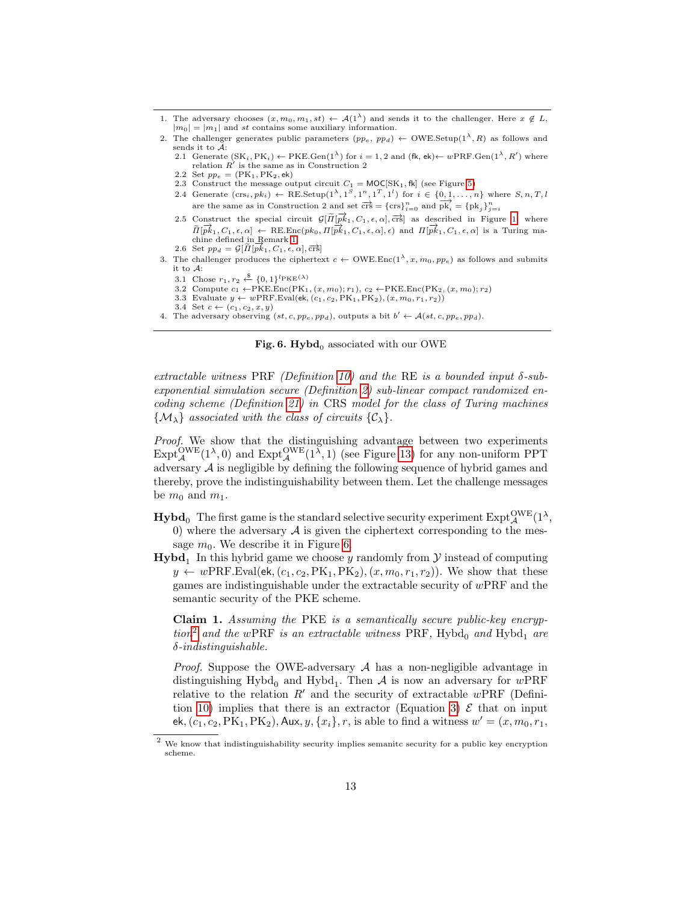- 1. The adversary chooses  $(x, m_0, m_1, st) \leftarrow \mathcal{A}(1^{\lambda})$  and sends it to the challenger. Here  $x \notin L$ ,  $|m_0| = |m_1|$  and st contains some auxiliary information.
- 2. The challenger generates public parameters  $(pp_e, pp_d) \leftarrow \text{OWE}.\text{Setup}(1^{\lambda}, R)$  as follows and sends it to A:
	- 2.1 Generate  $(SK_i, PK_i) \leftarrow PKE.Gen(1^{\lambda})$  for  $i = 1, 2$  and  $(fk, ek) \leftarrow wPRF.Gen(1^{\lambda}, R')$  where relation  $\overrightarrow{R}$  is the same as in Construction 2
	- 2.2 Set  $pp_e = (PK_1, PK_2, ek)$
	- 2.3 Construct the message output circuit  $C_1 = \text{MOC}[SK_1, \text{fk}]$  (see Figure [5\)](#page-11-0)
	- 2.4 Generate  $(crs_i, pk_i) \leftarrow \text{RE}.\text{Setup}(1^{\lambda}, 1^S, 1^n, 1^T, 1^l)$  for  $i \in \{0, 1, \ldots, n\}$  where  $S, n, T, l$ are the same as in Construction 2 and set  $\overrightarrow{crs} = {\text{crs}}_{i=0}^n$  and  $\overrightarrow{pk_i} = {\text{pk}_j}_{j=i}^n$
	- 2.5 Construct the special circuit  $\mathcal{G}[\tilde{\Pi}[\vec{p}_{\cdot}^{k_1}, C_1, \epsilon, \alpha], \vec{crs}]$  as described in Figure [1,](#page-5-1) where  $\widetilde{\Pi}[\overrightarrow{pk}_1, C_1, \epsilon, \alpha] \leftarrow \text{RE}.\text{Enc}(pk_0, \Pi[\overrightarrow{pk}_1, C_1, \epsilon, \alpha], \epsilon)$  and  $\Pi[\overrightarrow{pk}_1, C_1, \epsilon, \alpha]$  is a Turing ma-chine defined in Remark [1.](#page-4-0)
	- 2.6 Set  $pp_d = \mathcal{G}[\tilde{\Pi}[\overrightarrow{pk}_1, C_1, \epsilon, \alpha], \overrightarrow{\text{crs}}]$
- 3. The challenger produces the ciphertext  $c \leftarrow \text{OWE}.\text{Enc}(1^{\lambda}, x, m_0, pp_e)$  as follows and submits it to A:
	- 3.1 Chose  $r_1, r_2 \stackrel{\$}{\leftarrow} \{0, 1\}^{l_{\text{PKE}}(\lambda)}$
	- 3.2 Compute  $c_1 \leftarrow \text{PKE}.\text{Enc}(\text{PK}_1, (x, m_0); r_1), c_2 \leftarrow \text{PKE}.\text{Enc}(\text{PK}_2, (x, m_0); r_2)$
	- 3.3 Evaluate  $y \leftarrow wPRF.Eval(ek, (c_1, c_2, PK_1, PK_2), (x, m_0, r_1, r_2))$
	- 3.4 Set  $c \leftarrow (c_1, c_2, x, y)$
- <span id="page-12-0"></span>4. The adversary observing  $(st, c, pp_e, pp_d)$ , outputs a bit  $b' \leftarrow \mathcal{A}(st, c, pp_e, pp_d)$ .

Fig. 6. Hybd<sub>0</sub> associated with our OWE

extractable witness PRF (Definition [10\)](#page-21-1) and the RE is a bounded input  $\delta$ -subexponential simulation secure (Definition [2\)](#page-4-1) sub-linear compact randomized encoding scheme (Definition [21\)](#page-25-0) in CRS model for the class of Turing machines  $\{\mathcal{M}_{\lambda}\}\$ associated with the class of circuits  $\{\mathcal{C}_{\lambda}\}\$ .

Proof. We show that the distinguishing advantage between two experiments  $\text{Expt}_{\mathcal{A}}^{\text{OWE}}(1^{\lambda},0)$  and  $\text{Expt}_{\mathcal{A}}^{\text{OWE}}(1^{\lambda},1)$  (see Figure [13\)](#page-23-1) for any non-uniform PPT adversary  $A$  is negligible by defining the following sequence of hybrid games and thereby, prove the indistinguishability between them. Let the challenge messages be  $m_0$  and  $m_1$ .

- $\mathbf{Hybd}_0 \ \text{The first game is the standard selective security experiment } \mathrm{Expt}_{\mathcal{A}}^{\mathrm{OWE}}(1^\lambda,$ 0) where the adversary  $\mathcal A$  is given the ciphertext corresponding to the message  $m_0$ . We describe it in Figure [6.](#page-12-0)
- **Hybd**<sub>1</sub> In this hybrid game we choose y randomly from  $\mathcal{Y}$  instead of computing  $y \leftarrow wPRF.Eval(ek, (c_1, c_2, PK_1, PK_2), (x, m_0, r_1, r_2)).$  We show that these games are indistinguishable under the extractable security of wPRF and the semantic security of the PKE scheme.

Claim 1. Assuming the PKE is a semantically secure public-key encryp-tion<sup>[2](#page-12-1)</sup> and the wPRF is an extractable witness PRF, Hybd<sub>0</sub> and Hybd<sub>1</sub> are  $\delta$ -indistinguishable.

*Proof.* Suppose the OWE-adversary  $A$  has a non-negligible advantage in distinguishing  $Hybd<sub>0</sub>$  and  $Hybd<sub>1</sub>$ . Then A is now an adversary for  $wPRF$ relative to the relation  $R'$  and the security of extractable wPRF (Defini-tion [10\)](#page-21-1) implies that there is an extractor (Equation [3\)](#page-21-2)  $\mathcal E$  that on input ek,  $(c_1, c_2, PK_1, PK_2),$  Aux,  $y, \{x_i\}, r$ , is able to find a witness  $w' = (x, m_0, r_1,$ 

<span id="page-12-1"></span><sup>&</sup>lt;sup>2</sup> We know that indistinguishability security implies semanitc security for a public key encryption scheme.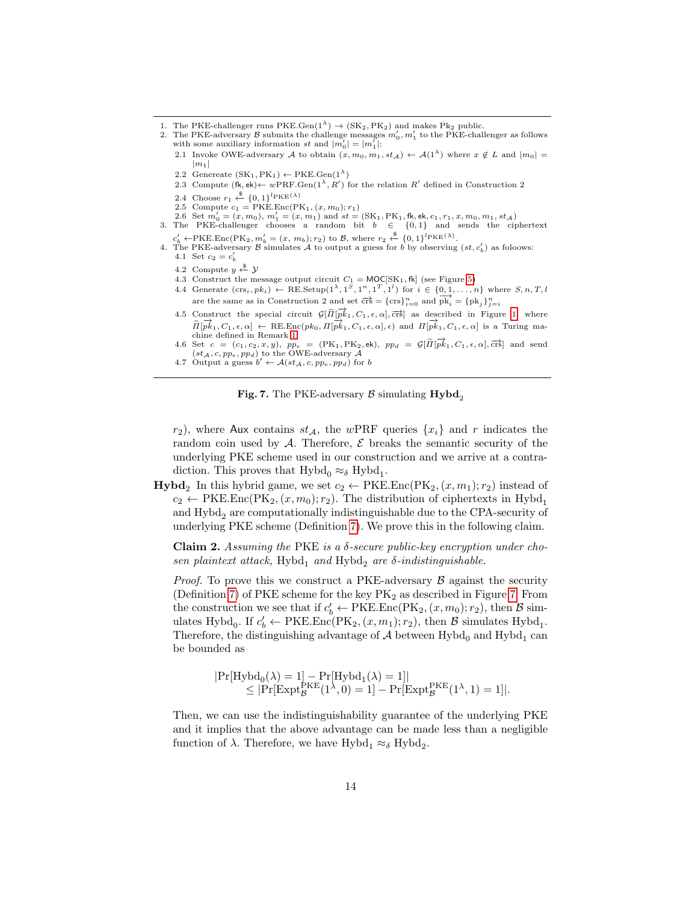- 1. The PKE-challenger runs PKE.Gen $(1^{\lambda}) \rightarrow (SK_2, PK_2)$  and makes Pk<sub>2</sub> public.
- 2. The PKE-adversary  $\mathcal B$  submits the challenge messages  $m'_0, m'_1$  to the PKE-challenger as follows with some auxiliary information st and  $|m'_0| = |m'_1|$ :
	- 2.1 Invoke OWE-adversary A to obtain  $(x, m_0, m_1, st_\mathcal{A}) \leftarrow \mathcal{A}(1^\lambda)$  where  $x \notin L$  and  $|m_0| =$  $|m_1|$
	- 2.2 Genereate  $(SK_1, PK_1) \leftarrow PKE.Gen(1^{\lambda})$
	- 2.3 Compute  $(fk, ek) \leftarrow wPRF.Gen(1^{\lambda}, R')$  for the relation R' defined in Construction 2
	- 2.4 Choose  $r_1 \stackrel{\$}{\leftarrow} \{0,1\}^{l_{\text{PKE}}(\lambda)}$
	- 2.5 Compute  $c_1 = \overrightarrow{\text{PKE}}$ . Enc $(\overrightarrow{\text{PK}}_1, (x, m_0); r_1)$
- 2.6 Set  $m'_0 = (x, m_0), m'_1 = (x, m_1)$  and  $st = (SK_1, PK_1, fk, ek, c_1, r_1, x, m_0, m_1, st_\mathcal{A})$ <br>3. The PKE-challenger chooses a random bit  $b \in \{0, 1\}$  and sends the ciphertext
- $c'_{b} \leftarrow \text{PKE}.\text{Enc}(\text{PK}_2, m'_{b} = (x, m_b); r_2) \text{ to } \mathcal{B}, \text{ where } r_2 \stackrel{\$}{\leftarrow} \{0, 1\}^{l_{\text{PKE}}(\lambda)}.$
- 4. The PKE-adversary B simulates A to output a guess for b by observing  $(st, c'_b)$  as foloows: 4.1 Set  $c_2 = c'_b$ 
	- 4.2 Compute  $y \overset{\$}{\leftarrow} \mathcal{Y}$
	- 4.3 Construct the message output circuit  $C_1 = \text{MOC}[SK_1, \text{fk}]$  (see Figure [5\)](#page-11-0)
	- 4.4 Generate  $(crs_i, pk_i) \leftarrow \text{RE}.\text{Setup}(1^{\lambda}, 1^S, 1^n, 1^T, 1^l)$  for  $i \in \{0, 1, \ldots, n\}$  where  $S, n, T, l$ are the same as in Construction 2 and set  $\overrightarrow{crs} = {\text{crs}}_{i=0}^n$  and  $\overrightarrow{pk_i} = {\text{pk}_j}_{j=i}^n$
	- 4.5 Construct the special circuit  $\mathcal{G}[\tilde{\Pi}[\vec{pk}_1, C_1, \epsilon, \alpha], \vec{crs}]$  as described in Figure [1,](#page-5-1) where  $\overrightarrow{n}$ [ $\overrightarrow{pk}_1, C_1, \epsilon, \alpha$ ] ← RE.Enc(pk<sub>0</sub>,  $\Pi[\overrightarrow{pk}_1, C_1, \epsilon, \alpha]$ ,  $\epsilon$ ) and  $\Pi[\overrightarrow{pk}_1, C_1, \epsilon, \alpha]$  is a Turing machine defined in Remark [1.](#page-4-0)
	- 4.6 Set  $c = (c_1, c_2, x, y)$ ,  $pp_e = (PK_1, PK_2, ek)$ ,  $pp_d = \mathcal{G}[\widetilde{H}[\overrightarrow{pk}_1, C_1, \epsilon, \alpha], \overrightarrow{crs}]$  and send  $(st_{\mathcal{A}}, c, pp_e, pp_d)$  to the OWE-adversary  $\mathcal{A}$
	- 4.7 Output a guess  $b' \leftarrow \mathcal{A}(st_{\mathcal{A}}, c, pp_e, pp_d)$  for b

Fig. 7. The PKE-adversary  $\beta$  simulating Hybd<sub>2</sub>

<span id="page-13-0"></span> $r_2$ , where Aux contains  $st_A$ , the wPRF queries  $\{x_i\}$  and r indicates the random coin used by  $A$ . Therefore,  $\mathcal E$  breaks the semantic security of the underlying PKE scheme used in our construction and we arrive at a contradiction. This proves that  $Hybd<sub>0</sub> \approx_{\delta} Hybd<sub>1</sub>$ .

**Hybd**<sub>2</sub> In this hybrid game, we set  $c_2 \leftarrow PKE.Enc(PK_2, (x, m_1); r_2)$  instead of  $c_2 \leftarrow \text{PKE}.\text{Enc}(\text{PK}_2,(x, m_0); r_2).$  The distribution of ciphertexts in Hybd<sub>1</sub> and  $Hybd<sub>2</sub>$  are computationally indistinguishable due to the CPA-security of underlying PKE scheme (Definition [7\)](#page-19-1). We prove this in the following claim.

**Claim 2.** Assuming the PKE is a  $\delta$ -secure public-key encryption under chosen plaintext attack, Hybd<sub>1</sub> and Hybd<sub>2</sub> are  $\delta$ -indistinguishable.

*Proof.* To prove this we construct a PKE-adversary  $\beta$  against the security (Definition [7\)](#page-19-1) of PKE scheme for the key  $PK<sub>2</sub>$  as described in Figure [7.](#page-13-0) From the construction we see that if  $c'_b \leftarrow \text{PKE}.\text{Enc}(\text{PK}_2,(x,m_0); r_2)$ , then  $\mathcal{B}$  simulates Hybd<sub>0</sub>. If  $c'_b \leftarrow \text{PKE}.\text{Enc}(\text{PK}_2,(x,m_1);r_2)$ , then  $\mathcal{B}$  simulates Hybd<sub>1</sub>. Therefore, the distinguishing advantage of  $\mathcal A$  between  $\mathrm{Hybd}_0$  and  $\mathrm{Hybd}_1$  can be bounded as

$$
|Pr[Hybd_0(\lambda) = 1] - Pr[Hybd_1(\lambda) = 1]|
$$
  
\n
$$
\leq |Pr[Expt_g^{PKE}(1^{\lambda}, 0) = 1] - Pr[Expt_g^{PKE}(1^{\lambda}, 1) = 1]|.
$$

Then, we can use the indistinguishability guarantee of the underlying PKE and it implies that the above advantage can be made less than a negligible function of  $\lambda$ . Therefore, we have Hybd<sub>1</sub>  $\approx_{\delta}$  Hybd<sub>2</sub>.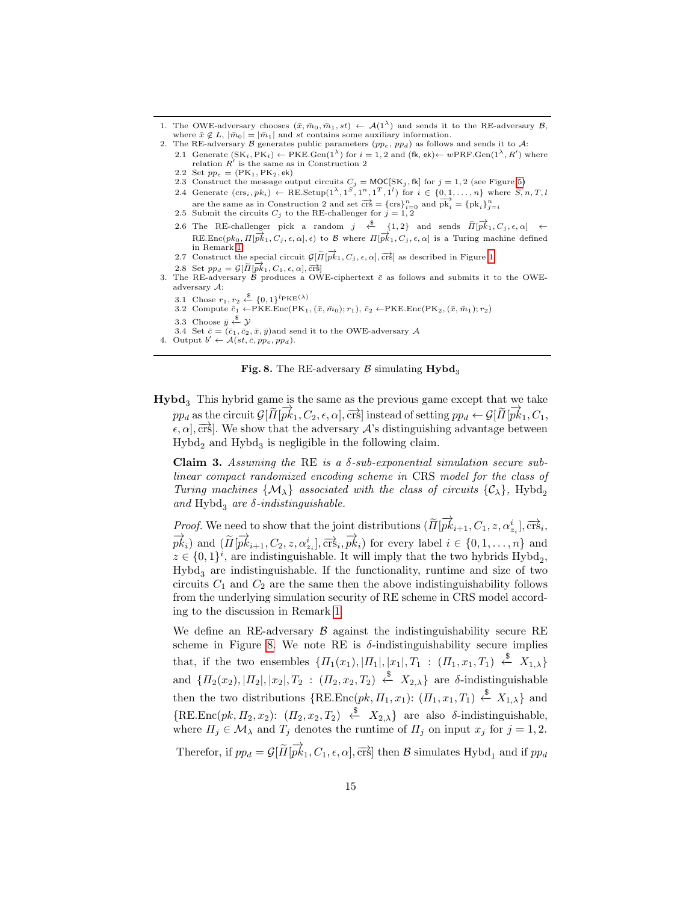- 1. The OWE-adversary chooses  $(\bar{x}, \bar{m}_0, \bar{m}_1, st) \leftarrow A(1^{\lambda})$  and sends it to the RE-adversary  $\mathcal{B}$ , where  $\bar{x} \notin L$ ,  $|\bar{m}_0| = |\bar{m}_1|$  and st contains some auxiliary information.
- 2. The RE-adversary B generates public parameters  $(pp_e, pp_d)$  as follows and sends it to A:
	- 2.1 Generate  $(SK_i, PK_i) \leftarrow \text{PKE.Gen}(1^{\lambda})$  for  $i = 1, 2$  and  $(\text{fk}, \text{ek}) \leftarrow w\text{PRF.Gen}(1^{\lambda}, R')$  where relation  $\overline{R}'$  is the same as in Construction 2 2.2 Set  $pp_e = (PK_1, PK_2, ek)$
	-
	- 2.3 Construct the message output circuits  $C_j = \text{MOC}[SK_j, \text{fk}]$  for  $j = 1, 2$  (see Figure [5\)](#page-11-0)<br>2.4 Generate  $(\text{crs}_i, pk_i) \leftarrow \text{RE}. \text{Setup}(1^{\lambda}, 1^S, 1^n, 1^T, 1^l)$  for  $i \in \{0, 1, ..., n\}$  where  $S, n, T, l$ are the same as in Construction 2 and set  $\overrightarrow{crs} = \{\text{crs}\}_{i=0}^n$  and  $\overrightarrow{pk}_i = \{pk_i\}_{j=i}^n$ <br>2.5 Submit the circuits  $C_j$  to the RE-challenger for  $j = 1, 2$
	-
	- 2.6 The RE-challenger pick a random  $j \leftarrow \{1, 2\}$  and sends  $\widetilde{\Pi}[\overrightarrow{pk}_1, C_j, \epsilon, \alpha] \leftarrow$ RE.Enc $(pk_0, \Pi[\overrightarrow{pk}_1, C_j, \epsilon, \alpha], \epsilon)$  to B where  $\Pi[\overrightarrow{pk}_1, C_j, \epsilon, \alpha]$  is a Turing machine defined in Remark [1.](#page-4-0)
	- 2.7 Construct the special circuit  $\mathcal{G}[\widetilde{H}[\overrightarrow{pk}_1, C_j, \epsilon, \alpha], \overrightarrow{crs}]$  as described in Figure [1.](#page-5-1)
- 2.8 Set  $pp_d = \mathcal{G}[\tilde{\Pi}[\overrightarrow{pk}_1, C_1, \epsilon, \alpha], \overrightarrow{\text{crs}}]$ 3. The RE-adversary  $\beta$  produces a OWE-ciphertext  $\bar{c}$  as follows and submits it to the OWEadversary A:
	- 3.1 Chose  $r_1, r_2 \stackrel{\$}{\leftarrow} \{0, 1\}^{l_{\text{PKE}}(\lambda)}$
	- 3.2 Compute  $\bar{c}_1 \leftarrow PKE \cdot Enc(PK_1, (\bar{x}, \bar{m}_0); r_1), \bar{c}_2 \leftarrow PKE \cdot Enc(PK_2, (\bar{x}, \bar{m}_1); r_2)$
	- 3.3 Choose  $\bar{y} \stackrel{\$}{\leftarrow} \mathcal{Y}$
- 3.4 Set  $\bar{c} = (\bar{c}_1, \bar{c}_2, \bar{x}, \bar{y})$  and send it to the OWE-adversary A<br>4. Output  $b' \leftarrow A(st, \bar{c}, p p_e, p p_d)$ .
- <span id="page-14-0"></span>

Fig. 8. The RE-adversary  $\beta$  simulating  $Hybd<sub>3</sub>$ 

 $Hybd<sub>3</sub>$  This hybrid game is the same as the previous game except that we take  $pp_d$  as the circuit  $\mathcal{G}[\tilde{\Pi}[\vec{pk}_1, C_2, \epsilon, \alpha], \vec{crs}]$  instead of setting  $pp_d \leftarrow \mathcal{G}[\tilde{\Pi}[\vec{pk}_1, C_1, \vec{br}]$  $\epsilon$ ,  $\alpha$ ,  $\overline{\text{crs}}$ . We show that the adversary  $\mathcal{A}$ 's distinguishing advantage between  $\mbox{Hybd}_2$  and  $\mbox{Hybd}_3$  is negligible in the following claim.

Claim 3. Assuming the RE is a  $\delta$ -sub-exponential simulation secure sublinear compact randomized encoding scheme in CRS model for the class of Turing machines  $\{M_{\lambda}\}\$ associated with the class of circuits  $\{\mathcal{C}_{\lambda}\}\$ , Hybd<sub>2</sub> and  $Hybd<sub>3</sub>$  are  $\delta$ -indistinguishable.

*Proof.* We need to show that the joint distributions  $(\widetilde{\Pi}[\overrightarrow{pk}_{i+1}, C_1, z, \alpha_{z_i}^i], \overrightarrow{\mathrm{crs}}_i,$  $\overrightarrow{pk_i}$  and  $(\overrightarrow{H}[\overrightarrow{pk_{i+1}}, C_2, z, \alpha_{z_i}^i], \overrightarrow{crs_i}, \overrightarrow{pk_i})$  for every label  $i \in \{0, 1, ..., n\}$  and  $z \in \{0,1\}^i$ , are indistinguishable. It will imply that the two hybrids  $\text{Hybd}_2$ ,  $Hybd<sub>3</sub>$  are indistinguishable. If the functionality, runtime and size of two circuits  $C_1$  and  $C_2$  are the same then the above indistinguishability follows from the underlying simulation security of RE scheme in CRS model according to the discussion in Remark [1.](#page-4-0)

We define an RE-adversary  $\beta$  against the indistinguishability secure RE scheme in Figure [8.](#page-14-0) We note RE is  $\delta$ -indistinguishability secure implies that, if the two ensembles  $\{H_1(x_1), |H_1|, |x_1|, T_1 : (H_1, x_1, T_1) \stackrel{\$}{\leftarrow} X_{1,\lambda}\}\$ and  $\{H_2(x_2), |H_2|, |x_2|, T_2\,:\, (H_2, x_2, T_2) \stackrel{\$}{\leftarrow} X_{2,\lambda}\}\$ are  $\delta$ -indistinguishable then the two distributions  $\{REEnc(pk, \Pi_1, x_1): (\Pi_1, x_1, T_1) \stackrel{\$}{\leftarrow} X_{1,\lambda}\}$  and  $\{RE. Enc(pk, \Pi_2, x_2): (\Pi_2, x_2, T_2) \stackrel{\$}{\leftarrow} X_{2,\lambda}\}$  are also  $\delta$ -indistinguishable, where  $\Pi_j \in \mathcal{M}_\lambda$  and  $T_j$  denotes the runtime of  $\Pi_j$  on input  $x_j$  for  $j = 1, 2$ . Therefor, if  $pp_d = \mathcal{G}[\tilde{\Pi}[\overrightarrow{pk}_1, C_1, \epsilon, \alpha], \overrightarrow{\text{crs}}]$  then  $\mathcal B$  simulates Hybd<sub>1</sub> and if  $pp_d$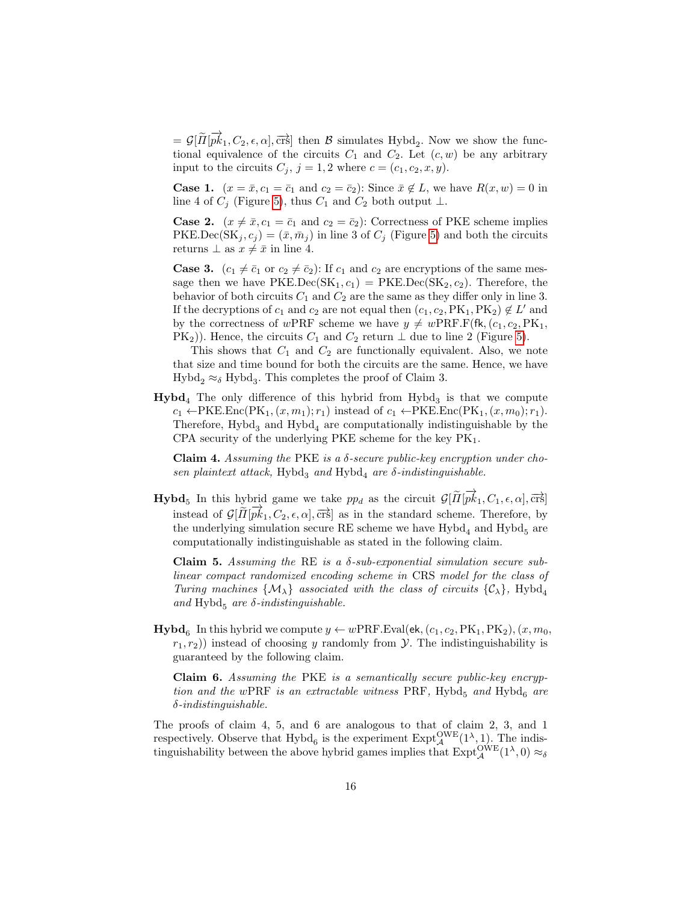$=\mathcal{G}[\tilde{\Pi}[\overrightarrow{pk}_1, C_2, \epsilon, \alpha], \overrightarrow{\text{crs}}]$  then  $\mathcal{B}$  simulates Hybd<sub>2</sub>. Now we show the functional equivalence of the circuits  $C_1$  and  $C_2$ . Let  $(c, w)$  be any arbitrary input to the circuits  $C_j$ ,  $j = 1, 2$  where  $c = (c_1, c_2, x, y)$ .

**Case 1.**  $(x = \bar{x}, c_1 = \bar{c}_1 \text{ and } c_2 = \bar{c}_2)$ : Since  $\bar{x} \notin L$ , we have  $R(x, w) = 0$  in line 4 of  $C_i$  (Figure [5\)](#page-11-0), thus  $C_1$  and  $C_2$  both output  $\perp$ .

**Case 2.**  $(x \neq \bar{x}, c_1 = \bar{c}_1 \text{ and } c_2 = \bar{c}_2)$ : Correctness of PKE scheme implies PKE.Dec(SK<sub>j</sub>,  $c_j$ ) =  $(\bar{x}, \bar{m}_j)$  in line 3 of  $C_j$  (Figure [5\)](#page-11-0) and both the circuits returns  $\perp$  as  $x \neq \overline{x}$  in line 4.

**Case 3.**  $(c_1 \neq \overline{c}_1 \text{ or } c_2 \neq \overline{c}_2)$ : If  $c_1$  and  $c_2$  are encryptions of the same message then we have  $PKE.Dec(SK_1, c_1) = PKE. Dec(SK_2, c_2)$ . Therefore, the behavior of both circuits  $C_1$  and  $C_2$  are the same as they differ only in line 3. If the decryptions of  $c_1$  and  $c_2$  are not equal then  $(c_1, c_2, PK_1, PK_2) \notin L'$  and by the correctness of wPRF scheme we have  $y \neq w$ PRF.F(fk,  $(c_1, c_2, PK_1,$ PK<sub>2</sub>)). Hence, the circuits  $C_1$  and  $C_2$  return  $\perp$  due to line 2 (Figure [5\)](#page-11-0).

This shows that  $C_1$  and  $C_2$  are functionally equivalent. Also, we note that size and time bound for both the circuits are the same. Hence, we have  $Hybd<sub>2</sub> \approx_{\delta} Hybd<sub>3</sub>$ . This completes the proof of Claim 3.

 $Hybd<sub>4</sub>$  The only difference of this hybrid from Hybd<sub>3</sub> is that we compute  $c_1 \leftarrow PKE.Enc(PK_1, (x, m_1); r_1)$  instead of  $c_1 \leftarrow PKE.Enc(PK_1, (x, m_0); r_1)$ . Therefore,  $Hybd<sub>3</sub>$  and  $Hybd<sub>4</sub>$  are computationally indistinguishable by the CPA security of the underlying PKE scheme for the key  $PK<sub>1</sub>$ .

Claim 4. Assuming the PKE is a  $\delta$ -secure public-key encryption under chosen plaintext attack, Hybd<sub>3</sub> and Hybd<sub>4</sub> are  $\delta$ -indistinguishable.

**Hybd**<sub>5</sub> In this hybrid game we take  $pp_d$  as the circuit  $\mathcal{G}[\tilde{\Pi}[\vec{pk}_1, C_1, \epsilon, \alpha], \vec{crs}]$ instead of  $\mathcal{G}[\widetilde{H}[\overrightarrow{pk}_1, C_2, \epsilon, \alpha], \overrightarrow{crs}]$  as in the standard scheme. Therefore, by the underlying simulation secure RE scheme we have  $Hybd<sub>4</sub>$  and  $Hybd<sub>5</sub>$  are computationally indistinguishable as stated in the following claim.

Claim 5. Assuming the RE is a  $\delta$ -sub-exponential simulation secure sublinear compact randomized encoding scheme in CRS model for the class of Turing machines  $\{M_{\lambda}\}\$ associated with the class of circuits  $\{\mathcal{C}_{\lambda}\}\$ , Hybd<sub>4</sub> and Hybd<sub>5</sub> are  $\delta$ -indistinguishable.

**Hybd**<sub>6</sub> In this hybrid we compute  $y \leftarrow wPRF.Eval(ek, (c_1, c_2, PK_1, PK_2), (x, m_0,$  $r_1, r_2$ ) instead of choosing y randomly from  $\mathcal Y$ . The indistinguishability is guaranteed by the following claim.

Claim 6. Assuming the PKE is a semantically secure public-key encryption and the wPRF is an extractable witness PRF, Hybd<sub>5</sub> and Hybd<sub>6</sub> are δ-indistinguishable.

The proofs of claim 4, 5, and 6 are analogous to that of claim 2, 3, and 1 respectively. Observe that  $Hybd_6$  is the experiment  $\text{Expt}_{\mathcal{A}}^{\text{OWE}}(1^{\lambda},1)$ . The indistinguishability between the above hybrid games implies that  $\text{Expt}_{\mathcal{A}}^{\text{OWE}}(1^{\lambda},0) \approx_{\delta}$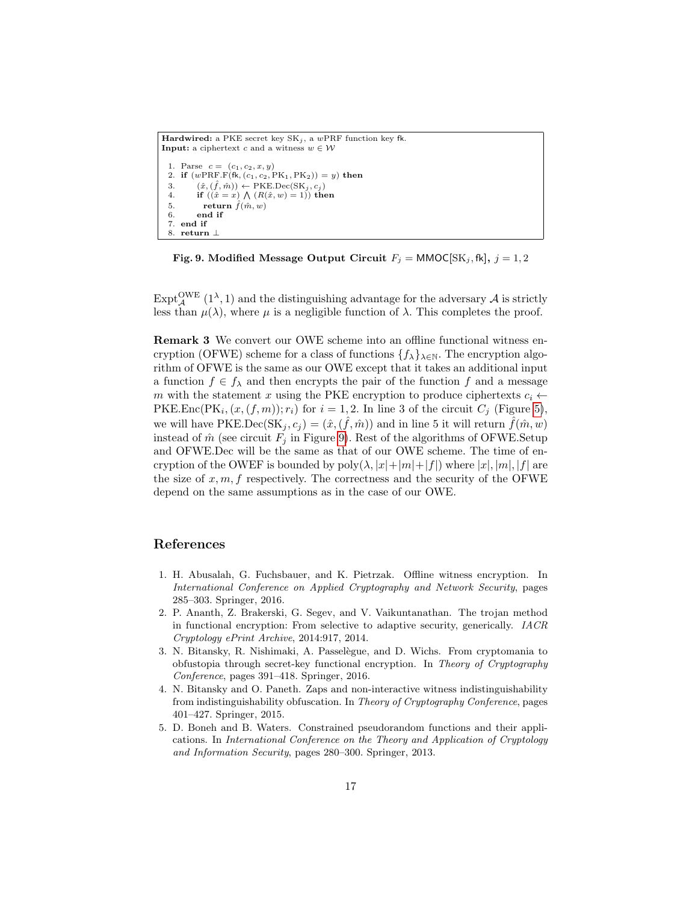```
Hardwired: a PKE secret key SK_j, a wPRF function key fk.
Input: a ciphertext c and a witness w \in \mathcal{W}1. Parse c = (c_1, c_2, x, y)2. if (wPRF.F(Hk, (c_1, c_2, PK_1, PK_2)) = y) then
 3. (\hat{x}, (\hat{f}, \hat{m})) \leftarrow \text{PKE.Dec(SK}_j, c_j)<br>4. if ((\hat{x} = x) \land (R(\hat{x}, w) = 1)) the
  4. if ((\hat{x} = x) \land (R(\hat{x}, w) = 1)) then
  5. return \hat{f}(\hat{m}, w)6. end if
  7. end if
  8. return ⊥
```
<span id="page-16-3"></span>Fig. 9. Modified Message Output Circuit  $F_j = \text{MMOC}[\text{SK}_j, \text{fk}], j = 1, 2$ 

 $\mathrm{Expt}^{\mathrm{OWE}}_{\mathcal{A}}$  (1<sup> $\lambda$ </sup>, 1) and the distinguishing advantage for the adversary  $\mathcal{A}$  is strictly less than  $\mu(\lambda)$ , where  $\mu$  is a negligible function of  $\lambda$ . This completes the proof.

<span id="page-16-2"></span>Remark 3 We convert our OWE scheme into an offline functional witness encryption (OFWE) scheme for a class of functions  $\{f_{\lambda}\}_{\lambda\in\mathbb{N}}$ . The encryption algorithm of OFWE is the same as our OWE except that it takes an additional input a function  $f \in f_{\lambda}$  and then encrypts the pair of the function f and a message m with the statement x using the PKE encryption to produce ciphertexts  $c_i \leftarrow$ PKE.Enc(PK<sub>i</sub>,  $(x,(f,m))$ ;  $r_i$ ) for  $i = 1, 2$ . In line 3 of the circuit  $C_j$  (Figure [5\)](#page-11-0), we will have PKE.Dec(SK<sub>j</sub>,  $c_j$ ) = ( $\hat{x}$ , ( $\hat{f}$ ,  $\hat{m}$ )) and in line 5 it will return  $\hat{f}(\hat{m}, w)$ instead of  $\hat{m}$  (see circuit  $F_j$  in Figure [9\)](#page-16-3). Rest of the algorithms of OFWE. Setup and OFWE.Dec will be the same as that of our OWE scheme. The time of encryption of the OWEF is bounded by  $poly(\lambda, |x|+|m|+|f|)$  where  $|x|, |m|, |f|$  are the size of  $x, m, f$  respectively. The correctness and the security of the OFWE depend on the same assumptions as in the case of our OWE.

## References

- <span id="page-16-0"></span>1. H. Abusalah, G. Fuchsbauer, and K. Pietrzak. Offline witness encryption. In International Conference on Applied Cryptography and Network Security, pages 285–303. Springer, 2016.
- <span id="page-16-6"></span>2. P. Ananth, Z. Brakerski, G. Segev, and V. Vaikuntanathan. The trojan method in functional encryption: From selective to adaptive security, generically. IACR Cryptology ePrint Archive, 2014:917, 2014.
- <span id="page-16-5"></span>3. N. Bitansky, R. Nishimaki, A. Passelègue, and D. Wichs. From cryptomania to obfustopia through secret-key functional encryption. In Theory of Cryptography Conference, pages 391–418. Springer, 2016.
- <span id="page-16-1"></span>4. N. Bitansky and O. Paneth. Zaps and non-interactive witness indistinguishability from indistinguishability obfuscation. In Theory of Cryptography Conference, pages 401–427. Springer, 2015.
- <span id="page-16-4"></span>5. D. Boneh and B. Waters. Constrained pseudorandom functions and their applications. In International Conference on the Theory and Application of Cryptology and Information Security, pages 280–300. Springer, 2013.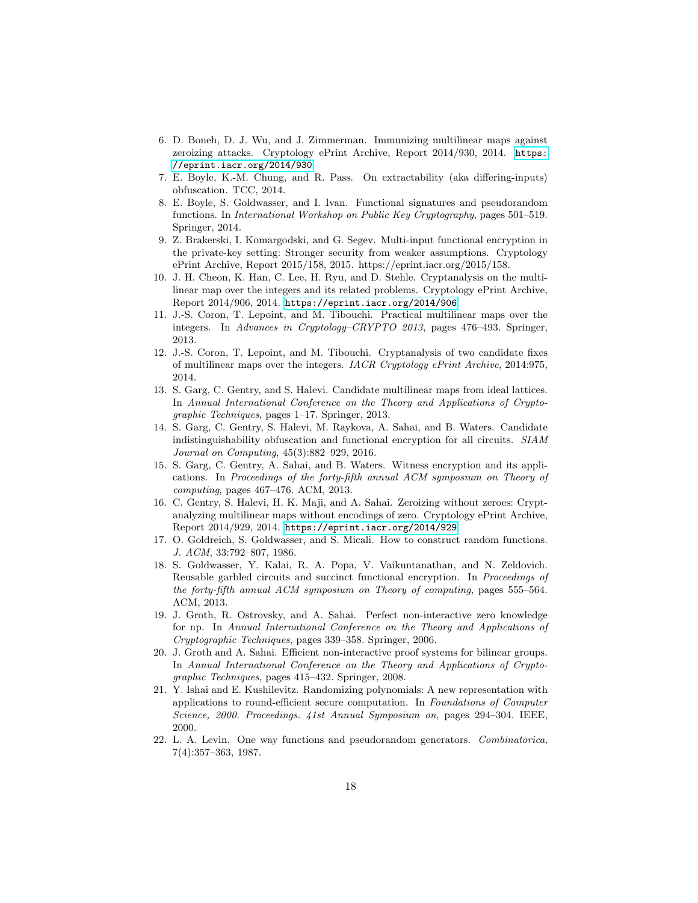- <span id="page-17-4"></span>6. D. Boneh, D. J. Wu, and J. Zimmerman. Immunizing multilinear maps against zeroizing attacks. Cryptology ePrint Archive, Report 2014/930, 2014. [https:](https://eprint.iacr.org/2014/930) [//eprint.iacr.org/2014/930](https://eprint.iacr.org/2014/930).
- <span id="page-17-1"></span>7. E. Boyle, K.-M. Chung, and R. Pass. On extractability (aka differing-inputs) obfuscation. TCC, 2014.
- <span id="page-17-13"></span>8. E. Boyle, S. Goldwasser, and I. Ivan. Functional signatures and pseudorandom functions. In International Workshop on Public Key Cryptography, pages 501–519. Springer, 2014.
- <span id="page-17-16"></span>9. Z. Brakerski, I. Komargodski, and G. Segev. Multi-input functional encryption in the private-key setting: Stronger security from weaker assumptions. Cryptology ePrint Archive, Report 2015/158, 2015. https://eprint.iacr.org/2015/158.
- <span id="page-17-3"></span>10. J. H. Cheon, K. Han, C. Lee, H. Ryu, and D. Stehle. Cryptanalysis on the multilinear map over the integers and its related problems. Cryptology ePrint Archive, Report 2014/906, 2014. <https://eprint.iacr.org/2014/906>.
- <span id="page-17-10"></span>11. J.-S. Coron, T. Lepoint, and M. Tibouchi. Practical multilinear maps over the integers. In Advances in Cryptology–CRYPTO 2013, pages 476–493. Springer, 2013.
- <span id="page-17-2"></span>12. J.-S. Coron, T. Lepoint, and M. Tibouchi. Cryptanalysis of two candidate fixes of multilinear maps over the integers. IACR Cryptology ePrint Archive, 2014:975, 2014.
- <span id="page-17-9"></span>13. S. Garg, C. Gentry, and S. Halevi. Candidate multilinear maps from ideal lattices. In Annual International Conference on the Theory and Applications of Cryptographic Techniques, pages 1–17. Springer, 2013.
- <span id="page-17-7"></span>14. S. Garg, C. Gentry, S. Halevi, M. Raykova, A. Sahai, and B. Waters. Candidate indistinguishability obfuscation and functional encryption for all circuits. SIAM Journal on Computing, 45(3):882–929, 2016.
- <span id="page-17-0"></span>15. S. Garg, C. Gentry, A. Sahai, and B. Waters. Witness encryption and its applications. In Proceedings of the forty-fifth annual ACM symposium on Theory of computing, pages 467–476. ACM, 2013.
- <span id="page-17-5"></span>16. C. Gentry, S. Halevi, H. K. Maji, and A. Sahai. Zeroizing without zeroes: Cryptanalyzing multilinear maps without encodings of zero. Cryptology ePrint Archive, Report 2014/929, 2014. <https://eprint.iacr.org/2014/929>.
- <span id="page-17-12"></span>17. O. Goldreich, S. Goldwasser, and S. Micali. How to construct random functions. J. ACM, 33:792–807, 1986.
- <span id="page-17-15"></span>18. S. Goldwasser, Y. Kalai, R. A. Popa, V. Vaikuntanathan, and N. Zeldovich. Reusable garbled circuits and succinct functional encryption. In Proceedings of the forty-fifth annual ACM symposium on Theory of computing, pages 555–564. ACM, 2013.
- <span id="page-17-8"></span>19. J. Groth, R. Ostrovsky, and A. Sahai. Perfect non-interactive zero knowledge for np. In Annual International Conference on the Theory and Applications of Cryptographic Techniques, pages 339–358. Springer, 2006.
- <span id="page-17-6"></span>20. J. Groth and A. Sahai. Efficient non-interactive proof systems for bilinear groups. In Annual International Conference on the Theory and Applications of Cryptographic Techniques, pages 415–432. Springer, 2008.
- <span id="page-17-11"></span>21. Y. Ishai and E. Kushilevitz. Randomizing polynomials: A new representation with applications to round-efficient secure computation. In Foundations of Computer Science, 2000. Proceedings. 41st Annual Symposium on, pages 294–304. IEEE, 2000.
- <span id="page-17-14"></span>22. L. A. Levin. One way functions and pseudorandom generators. Combinatorica, 7(4):357–363, 1987.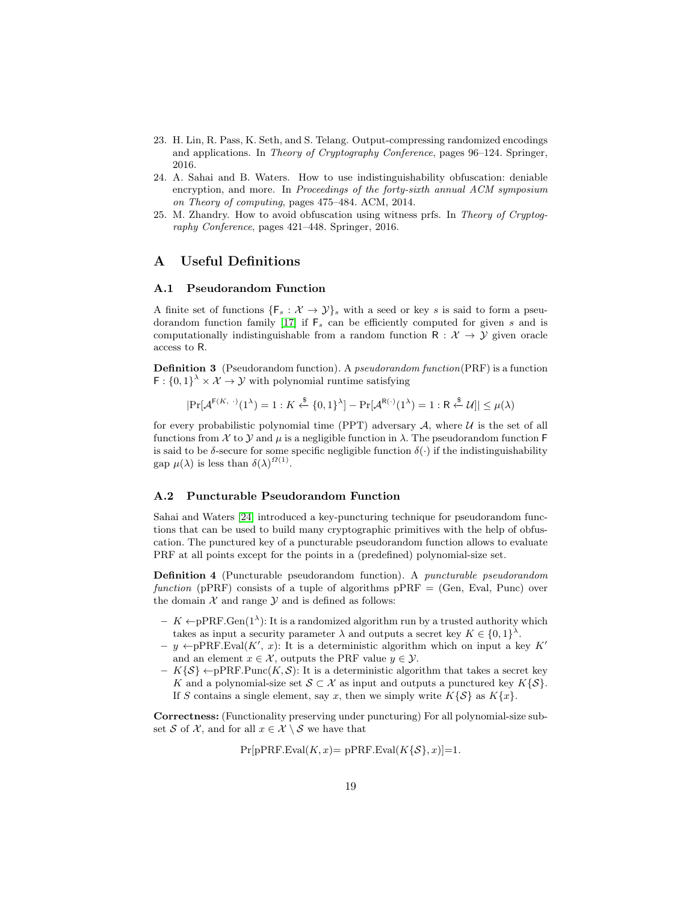- <span id="page-18-2"></span>23. H. Lin, R. Pass, K. Seth, and S. Telang. Output-compressing randomized encodings and applications. In Theory of Cryptography Conference, pages 96–124. Springer, 2016.
- <span id="page-18-1"></span>24. A. Sahai and B. Waters. How to use indistinguishability obfuscation: deniable encryption, and more. In Proceedings of the forty-sixth annual ACM symposium on Theory of computing, pages 475–484. ACM, 2014.
- <span id="page-18-0"></span>25. M. Zhandry. How to avoid obfuscation using witness prfs. In Theory of Cryptography Conference, pages 421–448. Springer, 2016.

## <span id="page-18-3"></span>A Useful Definitions

#### A.1 Pseudorandom Function

A finite set of functions  $\{F_s: \mathcal{X} \to \mathcal{Y}\}\$  with a seed or key s is said to form a pseu-dorandom function family [\[17\]](#page-17-12) if  $F_s$  can be efficiently computed for given s and is computationally indistinguishable from a random function  $R : \mathcal{X} \rightarrow \mathcal{Y}$  given oracle access to R.

Definition 3 (Pseudorandom function). A pseudorandom function(PRF) is a function  $F: \{0,1\}^{\lambda} \times \mathcal{X} \rightarrow \mathcal{Y}$  with polynomial runtime satisfying

$$
|\Pr[\mathcal{A}^{\mathsf{F}(K, \cdot)}(1^{\lambda}) = 1 : K \stackrel{\$}{\leftarrow} \{0, 1\}^{\lambda}] - \Pr[\mathcal{A}^{\mathsf{R}(\cdot)}(1^{\lambda}) = 1 : \mathsf{R} \stackrel{\$}{\leftarrow} \mathcal{U}]| \leq \mu(\lambda)
$$

for every probabilistic polynomial time (PPT) adversary  $A$ , where  $U$  is the set of all functions from X to Y and  $\mu$  is a negligible function in  $\lambda$ . The pseudorandom function F is said to be  $\delta$ -secure for some specific negligible function  $\delta(\cdot)$  if the indistinguishability gap  $\mu(\lambda)$  is less than  $\delta(\lambda)^{\Omega(1)}$ .

#### A.2 Puncturable Pseudorandom Function

Sahai and Waters [\[24\]](#page-18-1) introduced a key-puncturing technique for pseudorandom functions that can be used to build many cryptographic primitives with the help of obfuscation. The punctured key of a puncturable pseudorandom function allows to evaluate PRF at all points except for the points in a (predefined) polynomial-size set.

Definition 4 (Puncturable pseudorandom function). A puncturable pseudorandom function (pPRF) consists of a tuple of algorithms  $pPRF = (Gen, Eval, Punc)$  over the domain  $X$  and range  $Y$  and is defined as follows:

- $K \leftarrow PPRF \cdot Gen(1^{\lambda})$ : It is a randomized algorithm run by a trusted authority which takes as input a security parameter  $\lambda$  and outputs a secret key  $K \in \{0,1\}^{\lambda}$ .
- $y \leftarrow pPRF.Eval(K', x)$ : It is a deterministic algorithm which on input a key K<sup>'</sup> and an element  $x \in \mathcal{X}$ , outputs the PRF value  $y \in \mathcal{Y}$ .
- $K\{\mathcal{S}\}\leftarrow pPRF.Punc(K,\mathcal{S})$ : It is a deterministic algorithm that takes a secret key K and a polynomial-size set  $S \subset \mathcal{X}$  as input and outputs a punctured key  $K\{S\}$ . If S contains a single element, say x, then we simply write  $K\{S\}$  as  $K\{x\}$ .

<span id="page-18-4"></span>Correctness: (Functionality preserving under puncturing) For all polynomial-size subset S of X, and for all  $x \in \mathcal{X} \setminus \mathcal{S}$  we have that

$$
Pr[pPRF.Eval(K, x) = pPRF.Eval(K{S}, x)] = 1.
$$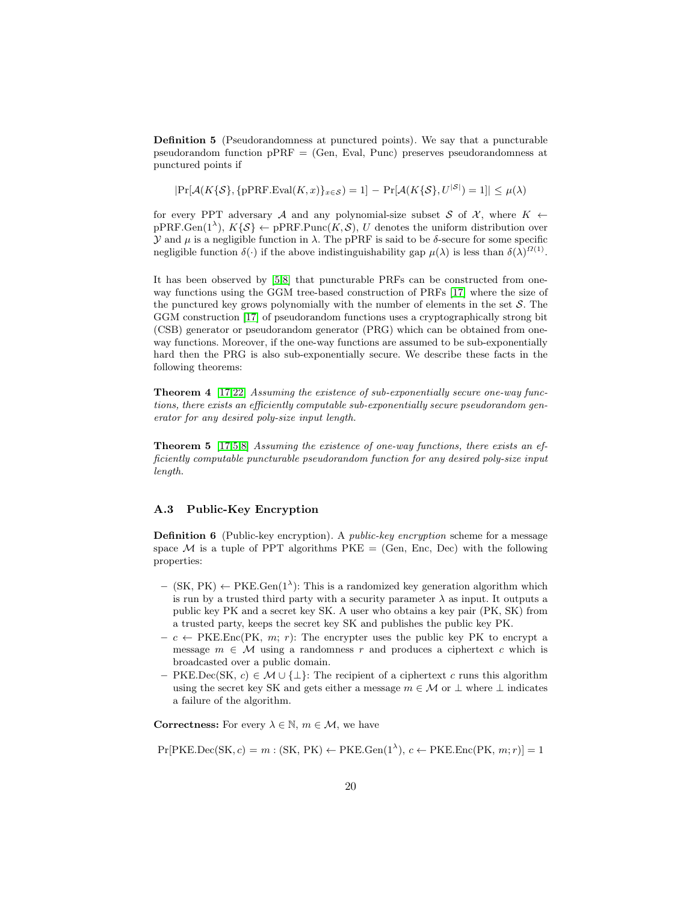Definition 5 (Pseudorandomness at punctured points). We say that a puncturable pseudorandom function  $pPRF = (Gen, Eva, Punc)$  preserves pseudorandomness at punctured points if

 $|\Pr[\mathcal{A}(K\{\mathcal{S}\}, \{pPRF.Eval(K, x)\}_{x\in \mathcal{S}}) = 1] - \Pr[\mathcal{A}(K\{\mathcal{S}\}, U^{|\mathcal{S}|}) = 1]| \leq \mu(\lambda)$ 

for every PPT adversary A and any polynomial-size subset S of  $\mathcal{X}$ , where  $K \leftarrow$  $pPRF.Gen(1^{\lambda}), K\{\mathcal{S}\} \leftarrow pPRF.Punc(K, \mathcal{S}), U$  denotes the uniform distribution over  $\mathcal Y$  and  $\mu$  is a negligible function in  $\lambda$ . The pPRF is said to be δ-secure for some specific negligible function  $\delta(\cdot)$  if the above indistinguishability gap  $\mu(\lambda)$  is less than  $\delta(\lambda)^{\Omega(1)}$ .

It has been observed by [\[5,](#page-16-4)[8\]](#page-17-13) that puncturable PRFs can be constructed from oneway functions using the GGM tree-based construction of PRFs [\[17\]](#page-17-12) where the size of the punctured key grows polynomially with the number of elements in the set  $S$ . The GGM construction [\[17\]](#page-17-12) of pseudorandom functions uses a cryptographically strong bit (CSB) generator or pseudorandom generator (PRG) which can be obtained from oneway functions. Moreover, if the one-way functions are assumed to be sub-exponentially hard then the PRG is also sub-exponentially secure. We describe these facts in the following theorems:

<span id="page-19-3"></span>Theorem 4 [\[17](#page-17-12)[,22\]](#page-17-14) Assuming the existence of sub-exponentially secure one-way functions, there exists an efficiently computable sub-exponentially secure pseudorandom generator for any desired poly-size input length.

<span id="page-19-2"></span>Theorem 5 [\[17](#page-17-12)[,5,](#page-16-4)[8\]](#page-17-13) Assuming the existence of one-way functions, there exists an efficiently computable puncturable pseudorandom function for any desired poly-size input length.

#### A.3 Public-Key Encryption

<span id="page-19-0"></span>**Definition 6** (Public-key encryption). A *public-key encryption* scheme for a message space M is a tuple of PPT algorithms  $PKE = (Gen, Enc, Dec)$  with the following properties:

- $-$  (SK, PK)  $\leftarrow$  PKE.Gen(1<sup> $\lambda$ </sup>): This is a randomized key generation algorithm which is run by a trusted third party with a security parameter  $\lambda$  as input. It outputs a public key PK and a secret key SK. A user who obtains a key pair (PK, SK) from a trusted party, keeps the secret key SK and publishes the public key PK.
- $-c \leftarrow PKEEnc(PK, m; r)$ : The encrypter uses the public key PK to encrypt a message  $m \in \mathcal{M}$  using a randomness r and produces a ciphertext c which is broadcasted over a public domain.
- PKE.Dec(SK, c)  $\in \mathcal{M} \cup \{\perp\}$ : The recipient of a ciphertext c runs this algorithm using the secret key SK and gets either a message  $m \in \mathcal{M}$  or  $\bot$  where  $\bot$  indicates a failure of the algorithm.

**Correctness:** For every  $\lambda \in \mathbb{N}$ ,  $m \in \mathcal{M}$ , we have

<span id="page-19-1"></span> $Pr[PKE, Dec(SK, c) = m : (SK, PK) \leftarrow PKE, Gen(1^{\lambda}), c \leftarrow PKE, Enc(PK, m; r)] = 1$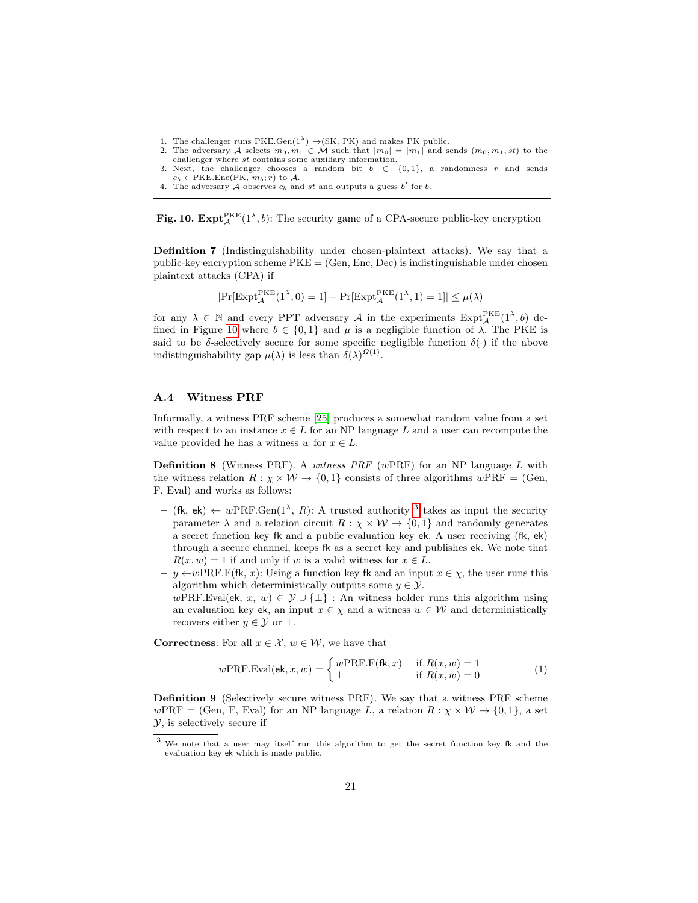1. The challenger runs PKE.Gen( $1^{\lambda}$ )  $\rightarrow$ (SK, PK) and makes PK public.

Fig. 10.  $\text{Expt}_{\mathcal{A}}^{\text{PKE}}(1^{\lambda}, b)$ : The security game of a CPA-secure public-key encryption

Definition 7 (Indistinguishability under chosen-plaintext attacks). We say that a public-key encryption scheme  $PKE = (Gen, Enc, Dec)$  is indistinguishable under chosen plaintext attacks (CPA) if

<span id="page-20-2"></span>
$$
|\mathrm{Pr}[\mathrm{Expt}_{\mathcal{A}}^{\mathrm{PKE}}(1^{\lambda},0)=1]-\mathrm{Pr}[\mathrm{Expt}_{\mathcal{A}}^{\mathrm{PKE}}(1^{\lambda},1)=1]|\leq \mu(\lambda)
$$

for any  $\lambda \in \mathbb{N}$  and every PPT adversary A in the experiments  $\text{Expt}^{\text{PKE}}_{\mathcal{A}}(1^{\lambda},b)$  de-fined in Figure [10](#page-20-2) where  $b \in \{0,1\}$  and  $\mu$  is a negligible function of  $\lambda$ . The PKE is said to be  $\delta$ -selectively secure for some specific negligible function  $\delta(\cdot)$  if the above indistinguishability gap  $\mu(\lambda)$  is less than  $\delta(\lambda)^{\Omega(1)}$ .

#### A.4 Witness PRF

Informally, a witness PRF scheme [\[25\]](#page-18-0) produces a somewhat random value from a set with respect to an instance  $x \in L$  for an NP language L and a user can recompute the value provided he has a witness w for  $x \in L$ .

<span id="page-20-1"></span>**Definition 8** (Witness PRF). A witness PRF (wPRF) for an NP language  $L$  with the witness relation  $R : \chi \times W \to \{0, 1\}$  consists of three algorithms  $wPRF = (Gen,$ F, Eval) and works as follows:

- $-$  (fk, ek)  $\leftarrow wPRF.Gen(1^{\lambda}, R)$ : A trusted authority <sup>[3](#page-20-3)</sup> takes as input the security parameter  $\lambda$  and a relation circuit  $R : \chi \times W \to \{0, 1\}$  and randomly generates a secret function key fk and a public evaluation key ek. A user receiving (fk, ek) through a secure channel, keeps fk as a secret key and publishes ek. We note that  $R(x, w) = 1$  if and only if w is a valid witness for  $x \in L$ .
- y ←wPRF.F(fk, x): Using a function key fk and an input x ∈ χ, the user runs this algorithm which deterministically outputs some  $y \in \mathcal{Y}$ .
- wPRF.Eval(ek, x, w) ∈  $\mathcal{Y} \cup {\perp}$ : An witness holder runs this algorithm using an evaluation key ek, an input  $x \in \chi$  and a witness  $w \in \mathcal{W}$  and deterministically recovers either  $y \in \mathcal{Y}$  or  $\perp$ .

**Correctness:** For all  $x \in \mathcal{X}$ ,  $w \in \mathcal{W}$ , we have that

<span id="page-20-0"></span>
$$
w\text{PRF.Eval}(\mathbf{ek}, x, w) = \begin{cases} w\text{PRF.F}(\mathbf{fk}, x) & \text{if } R(x, w) = 1\\ \bot & \text{if } R(x, w) = 0 \end{cases} \tag{1}
$$

Definition 9 (Selectively secure witness PRF). We say that a witness PRF scheme  $wPRF = (Gen, F, eval)$  for an NP language L, a relation  $R : \chi \times W \rightarrow \{0, 1\}$ , a set Y, is selectively secure if

<sup>2.</sup> The adversary A selects  $m_0, m_1 \in \mathcal{M}$  such that  $|m_0| = |m_1|$  and sends  $(m_0, m_1, st)$  to the challenger where st contains some auxiliary information.

<sup>3.</sup> Next, the challenger chooses a random bit  $b \in \{0,1\}$ , a randomness r and sends  $c_b \leftarrow$ PKE.Enc(PK,  $m_b; r$ ) to A.

<sup>4.</sup> The adversary  $A$  observes  $c_b$  and st and outputs a guess  $b'$  for  $b$ .

<span id="page-20-3"></span><sup>3</sup> We note that a user may itself run this algorithm to get the secret function key fk and the evaluation key ek which is made public.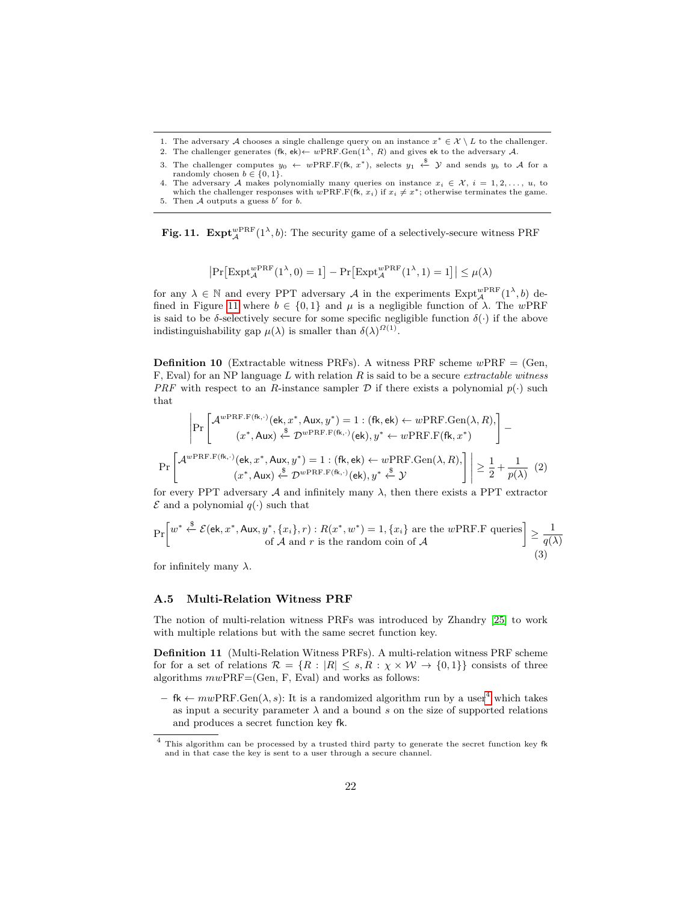- 1. The adversary A chooses a single challenge query on an instance  $x^* \in \mathcal{X} \setminus L$  to the challenger.
- 2. The challenger generates  $(fk, ek) \leftarrow wPRF.Gen(1^{\lambda}, R)$  and gives ek to the adversary A.
- 3. The challenger computes  $y_0 \leftarrow wPRF.F(\text{fk}, x^*)$ , selects  $y_1 \leftarrow^{\$} \mathcal{Y}$  and sends  $y_b$  to A for a randomly chosen  $b \in \{0, 1\}.$
- 4. The adversary A makes polynomially many queries on instance  $x_i \in \mathcal{X}, i = 1, 2, ..., u$ , to which the challenger responses with  $wPRF.F(F(\hat{k}, x_i))$  if  $x_i \neq x^*$ ; otherwise terminates the game.

Fig. 11.  $\text{Expt}_{\mathcal{A}}^{w\text{PRF}}(1^{\lambda}, b)$ : The security game of a selectively-secure witness PRF

<span id="page-21-0"></span>
$$
\left|\Pr\left[\mathrm{Expt}_{\mathcal{A}}^{w\mathrm{PRF}}(1^{\lambda},0)=1\right]-\Pr\left[\mathrm{Expt}_{\mathcal{A}}^{w\mathrm{PRF}}(1^{\lambda},1)=1\right]\right|\leq\mu(\lambda)
$$

for any  $\lambda \in \mathbb{N}$  and every PPT adversary A in the experiments  $\text{Expt}_{\mathcal{A}}^{w\text{PRF}}(1^{\lambda},b)$  de-fined in Figure [11](#page-21-0) where  $b \in \{0,1\}$  and  $\mu$  is a negligible function of  $\lambda$ . The wPRF is said to be  $\delta$ -selectively secure for some specific negligible function  $\delta(\cdot)$  if the above indistinguishability gap  $\mu(\lambda)$  is smaller than  $\delta(\lambda)^{\Omega(1)}$ .

<span id="page-21-1"></span>**Definition 10** (Extractable witness PRFs). A witness PRF scheme  $w$ PRF = (Gen, F, Eval) for an NP language  $L$  with relation  $R$  is said to be a secure *extractable witness* PRF with respect to an R-instance sampler  $D$  if there exists a polynomial  $p(\cdot)$  such that

$$
\Pr\left[\mathcal{A}^{w\text{PRF.F(fk,.)}}(\mathsf{ek}, x^*, \mathsf{Aux}, y^*) = 1 : (\mathsf{fk}, \mathsf{ek}) \leftarrow w\text{PRF.Gen}(\lambda, R), \left.\right] - (x^*, \mathsf{Aux}) \stackrel{\text{g}}{\leftarrow} \mathcal{D}^{w\text{PRF.F(fk,.)}}(\mathsf{ek}), y^* \leftarrow w\text{PRF.F(fk}, x^*)\right] - \Pr\left[\mathcal{A}^{w\text{PRF.F(fk,.)}}(\mathsf{ek}, x^*, \mathsf{Aux}, y^*) = 1 : (\mathsf{fk}, \mathsf{ek}) \leftarrow w\text{PRF.Gen}(\lambda, R), \left.\right] \ge \frac{1}{2} + \frac{1}{p(\lambda)} \tag{2}
$$

<span id="page-21-2"></span>for every PPT adversary  $A$  and infinitely many  $\lambda$ , then there exists a PPT extractor  $\mathcal E$  and a polynomial  $q(\cdot)$  such that

$$
\Pr\left[w^* \stackrel{\$}{\leftarrow} \mathcal{E}(\mathsf{ek}, x^*, \mathsf{Aux}, y^*, \{x_i\}, r) : R(x^*, w^*) = 1, \{x_i\} \text{ are the } w\text{PRF.F queries} \right] \ge \frac{1}{q(\lambda)} \tag{3}
$$

for infinitely many  $\lambda$ .

#### A.5 Multi-Relation Witness PRF

The notion of multi-relation witness PRFs was introduced by Zhandry [\[25\]](#page-18-0) to work with multiple relations but with the same secret function key.

Definition 11 (Multi-Relation Witness PRFs). A multi-relation witness PRF scheme for for a set of relations  $\mathcal{R} = \{R : |R| \le s, R : \chi \times W \to \{0,1\}\}\)$  consists of three algorithms  $mwPRF=(Gen, F, Eval)$  and works as follows:

– fk  $\leftarrow m w PRF.Gen(\lambda, s)$ : It is a randomized algorithm run by a user<sup>[4](#page-21-3)</sup> which takes as input a security parameter  $\lambda$  and a bound s on the size of supported relations and produces a secret function key fk.

<sup>5.</sup> Then  $A$  outputs a guess  $b'$  for  $b$ .

<span id="page-21-3"></span> $^4\,$  This algorithm can be processed by a trusted third party to generate the secret function key fk and in that case the key is sent to a user through a secure channel.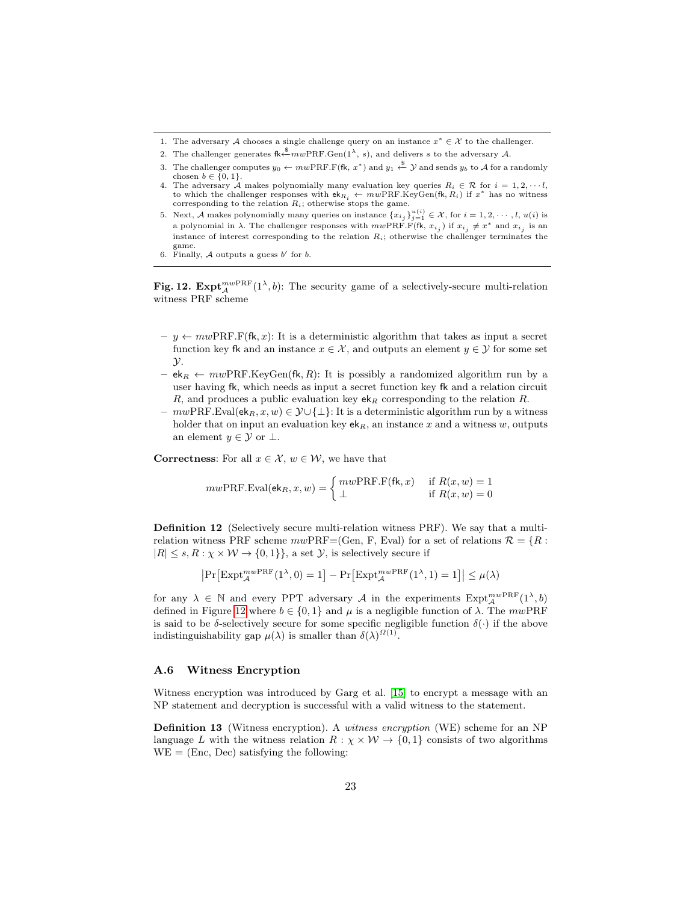- 1. The adversary A chooses a single challenge query on an instance  $x^* \in \mathcal{X}$  to the challenger.
- 2. The challenger generates  $\kappa \stackrel{\text{4}}{\leftarrow} m w PRF$ . Gen $(1^{\lambda}, s)$ , and delivers s to the adversary A.
- 3. The challenger computes  $y_0 \leftarrow m w \text{PRF.F}(\text{fk}, x^*)$  and  $y_1 \stackrel{\$}{\leftarrow} \mathcal{Y}$  and sends  $y_b$  to A for a randomly chosen  $b \in \{0, 1\}.$
- 4. The adversary A makes polynomially many evaluation key queries  $R_i \in \mathcal{R}$  for  $i = 1, 2, \dots, l$ , to which the challenger responses with  $ek_{R_i} \leftarrow m w PRF.KeyGen(fk, R_i)$  if  $x^*$  has no witness corresponding to the relation  $R_i$ ; otherwise stops the game.
- 5. Next, A makes polynomially many queries on instance  $\{x_{i_j}\}_{j=1}^{u(i)} \in \mathcal{X}$ , for  $i = 1, 2, \dots, l$ ,  $u(i)$  is a polynomial in  $\lambda$ . The challenger responses with  $mwPRF.F(\text{fk}, x_{i_j})$  if  $x_{i_j} \neq x^*$  and  $x_{i_j}$  is an instance of interest corresponding to the relation  $R_i$ ; otherwise the challenger terminates the  $\mathop{\mathrm{game}}$
- <span id="page-22-0"></span>6. Finally, A outputs a guess  $b'$  for  $b$ .

Fig. 12.  $\text{Expt}_{\mathcal{A}}^{mw\text{PRF}}(1^{\lambda},b)$ : The security game of a selectively-secure multi-relation witness PRF scheme

- $y \leftarrow m w PRF.F(fk, x)$ : It is a deterministic algorithm that takes as input a secret function key fk and an instance  $x \in \mathcal{X}$ , and outputs an element  $y \in \mathcal{Y}$  for some set  $\mathcal{Y}$ .
- ek<sub>R</sub> ←  $mwPRF.KeyGen(fk, R)$ : It is possibly a randomized algorithm run by a user having fk, which needs as input a secret function key fk and a relation circuit R, and produces a public evaluation key  $ek_R$  corresponding to the relation R.
- $m wPRF.Eval(ek<sub>R</sub>, x, w) \in \mathcal{Y} \cup \{\perp\}$ : It is a deterministic algorithm run by a witness holder that on input an evaluation key  $ek_R$ , an instance x and a witness w, outputs an element  $y \in \mathcal{Y}$  or  $\perp$ .

**Correctness:** For all  $x \in \mathcal{X}$ ,  $w \in \mathcal{W}$ , we have that

$$
mw\text{PRF.Eval}(\mathbf{ek}_R, x, w) = \begin{cases} m w \text{PRF.F}(\mathbf{fk}, x) & \text{if } R(x, w) = 1\\ \bot & \text{if } R(x, w) = 0 \end{cases}
$$

Definition 12 (Selectively secure multi-relation witness PRF). We say that a multirelation witness PRF scheme  $mwPRF=(Gen, F, Eval)$  for a set of relations  $\mathcal{R} = \{R :$  $|R| \leq s, R : \chi \times W \rightarrow \{0, 1\}\},$  a set  $\mathcal{Y}$ , is selectively secure if

$$
\left|\Pr\left[\text{Expt}_{\mathcal{A}}^{mw\text{PRF}}(1^{\lambda},0)=1\right]-\Pr\left[\text{Expt}_{\mathcal{A}}^{mw\text{PRF}}(1^{\lambda},1)=1\right]\right|\leq\mu(\lambda)
$$

for any  $\lambda \in \mathbb{N}$  and every PPT adversary A in the experiments  $\text{Expt}_{\mathcal{A}}^{mw\text{PRF}}(1^{\lambda},b)$ defined in Figure [12](#page-22-0) where  $b \in \{0, 1\}$  and  $\mu$  is a negligible function of  $\lambda$ . The mwPRF is said to be  $\delta$ -selectively secure for some specific negligible function  $\delta(\cdot)$  if the above indistinguishability gap  $\mu(\lambda)$  is smaller than  $\delta(\lambda)^{\Omega(1)}$ .

#### A.6 Witness Encryption

Witness encryption was introduced by Garg et al. [\[15\]](#page-17-0) to encrypt a message with an NP statement and decryption is successful with a valid witness to the statement.

Definition 13 (Witness encryption). A witness encryption (WE) scheme for an NP language L with the witness relation  $R : \chi \times W \to \{0,1\}$  consists of two algorithms  $WE = (Enc, Dec)$  satisfying the following: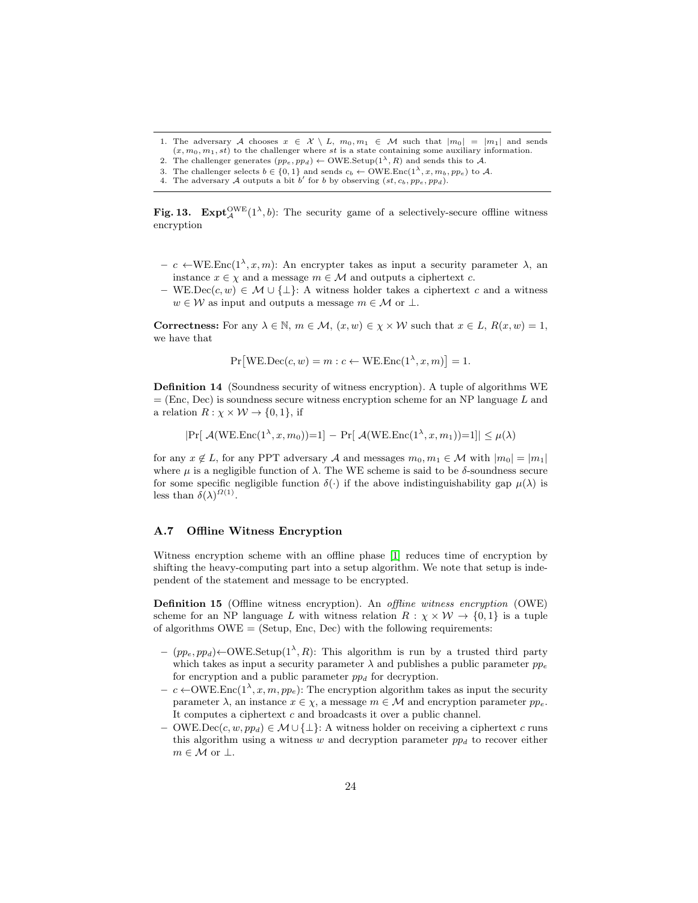- 1. The adversary A chooses  $x \in \mathcal{X} \setminus L$ ,  $m_0, m_1 \in \mathcal{M}$  such that  $|m_0| = |m_1|$  and sends  $(x, m_0, m_1, st)$  to the challenger where st is a state containing some auxiliary information.
- 2. The challenger generates  $(pp_e, pp_d) \leftarrow \text{OWE}.\text{Setup}(1^{\lambda}, R)$  and sends this to A. 3. The challenger selects  $b \in \{0, 1\}$  and sends  $c_b \leftarrow \text{OWE}.\text{Enc}(1^{\lambda}, x, m_b, pp_e)$  to A.
- 4. The adversary A outputs a bit b' for b by observing  $(st, c_b, pp_e, pp_d)$ .
- 

Fig. 13. Expt<sup>OWE</sup> $(1^{\lambda}, b)$ : The security game of a selectively-secure offline witness encryption

- $c$  ←WE.Enc(1<sup>λ</sup>, x, m): An encrypter takes as input a security parameter λ, an instance  $x \in \chi$  and a message  $m \in \mathcal{M}$  and outputs a ciphertext c.
- WE.Dec(c, w) ∈  $\mathcal{M} \cup {\{\perp\}}$ : A witness holder takes a ciphertext c and a witness  $w \in \mathcal{W}$  as input and outputs a message  $m \in \mathcal{M}$  or  $\perp$ .

**Correctness:** For any  $\lambda \in \mathbb{N}$ ,  $m \in \mathcal{M}$ ,  $(x, w) \in \chi \times \mathcal{W}$  such that  $x \in L$ ,  $R(x, w) = 1$ , we have that

<span id="page-23-1"></span>
$$
Pr[WE.Dec(c, w) = m : c \leftarrow WE.Enc(1^{\lambda}, x, m)] = 1.
$$

Definition 14 (Soundness security of witness encryption). A tuple of algorithms WE  $=$  (Enc, Dec) is soundness secure witness encryption scheme for an NP language L and a relation  $R: \chi \times W \rightarrow \{0, 1\}$ , if

 $|\Pr[\ \mathcal{A}(WE\text{.Enc}(1^{\lambda}, x, m_0))=1] - \Pr[\ \mathcal{A}(WE\text{.Enc}(1^{\lambda}, x, m_1))=1]| \leq \mu(\lambda)$ 

for any  $x \notin L$ , for any PPT adversary A and messages  $m_0, m_1 \in \mathcal{M}$  with  $|m_0| = |m_1|$ where  $\mu$  is a negligible function of  $\lambda$ . The WE scheme is said to be  $\delta$ -soundness secure for some specific negligible function  $\delta(\cdot)$  if the above indistinguishability gap  $\mu(\lambda)$  is less than  $\delta(\lambda)^{\Omega(1)}$ .

#### A.7 Offline Witness Encryption

<span id="page-23-0"></span>Witness encryption scheme with an offline phase [\[1\]](#page-16-0) reduces time of encryption by shifting the heavy-computing part into a setup algorithm. We note that setup is independent of the statement and message to be encrypted.

Definition 15 (Offline witness encryption). An offline witness encryption (OWE) scheme for an NP language L with witness relation  $R : \chi \times W \rightarrow \{0, 1\}$  is a tuple of algorithms  $\text{OWE} = (\text{Setup, Enc, Dec})$  with the following requirements:

- $-$  (pp<sub>e</sub>, pp<sub>d</sub>) ← OWE.Setup(1<sup> $\lambda$ </sup>, R): This algorithm is run by a trusted third party which takes as input a security parameter  $\lambda$  and publishes a public parameter  $pp_e$ for encryption and a public parameter  $pp_d$  for decryption.
- $c \leftarrow \text{OWE}.\text{Enc}(1^{\lambda}, x, m, pp_e):$  The encryption algorithm takes as input the security parameter  $\lambda$ , an instance  $x \in \chi$ , a message  $m \in \mathcal{M}$  and encryption parameter  $pp_e$ . It computes a ciphertext  $c$  and broadcasts it over a public channel.
- OWE.Dec(c, w, ppd) ∈  $\mathcal{M} \cup \{\perp\}$ : A witness holder on receiving a ciphertext c runs this algorithm using a witness w and decryption parameter  $p p_d$  to recover either  $m \in \mathcal{M}$  or  $\perp$ .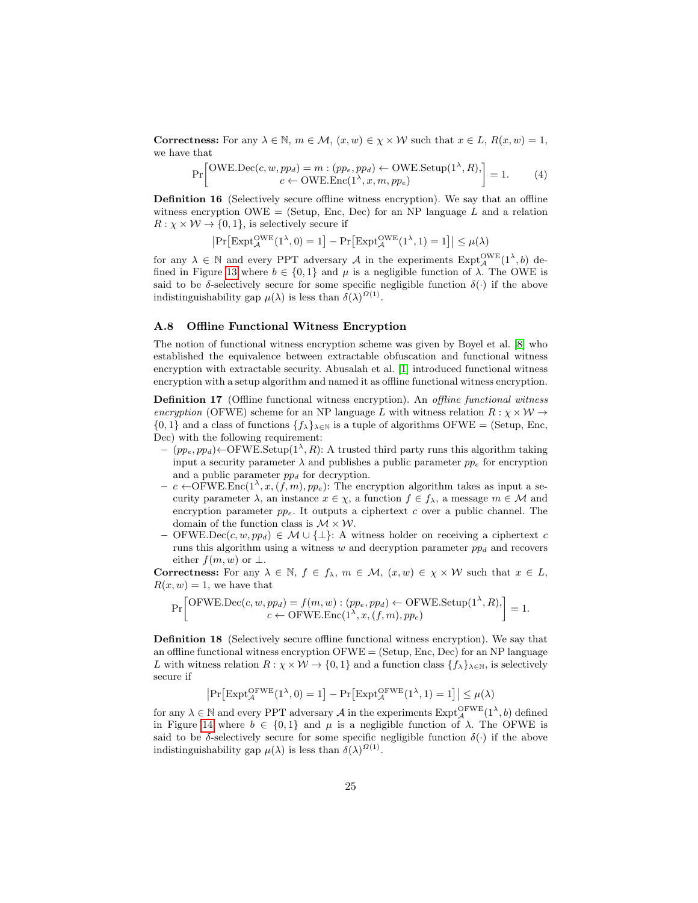**Correctness:** For any  $\lambda \in \mathbb{N}$ ,  $m \in \mathcal{M}$ ,  $(x, w) \in \chi \times \mathcal{W}$  such that  $x \in L$ ,  $R(x, w) = 1$ , we have that

<span id="page-24-0"></span>
$$
\Pr\left[\text{OWE.Dec}(c, w, pp_d) = m : (pp_e, pp_d) \leftarrow \text{OWE.Setup}(1^\lambda, R),\right] = 1. \tag{4}
$$

Definition 16 (Selectively secure offline witness encryption). We say that an offline witness encryption OWE = (Setup, Enc, Dec) for an NP language  $L$  and a relation  $R: \chi \times W \rightarrow \{0, 1\}$ , is selectively secure if

$$
\left|\Pr\left[\mathrm{Expt}_{\mathcal{A}}^{\mathrm{OWE}}(1^{\lambda},0)=1\right]-\Pr\left[\mathrm{Expt}_{\mathcal{A}}^{\mathrm{OWE}}(1^{\lambda},1)=1\right]\right|\leq\mu(\lambda)
$$

for any  $\lambda \in \mathbb{N}$  and every PPT adversary A in the experiments  $\text{Expt}_{\mathcal{A}}^{\text{OWE}}(1^{\lambda}, b)$  de-fined in Figure [13](#page-23-1) where  $b \in \{0,1\}$  and  $\mu$  is a negligible function of  $\lambda$ . The OWE is said to be  $\delta$ -selectively secure for some specific negligible function  $\delta(\cdot)$  if the above indistinguishability gap  $\mu(\lambda)$  is less than  $\delta(\lambda)^{\Omega(1)}$ .

#### A.8 Offline Functional Witness Encryption

The notion of functional witness encryption scheme was given by Boyel et al. [\[8\]](#page-17-13) who established the equivalence between extractable obfuscation and functional witness encryption with extractable security. Abusalah et al. [\[1\]](#page-16-0) introduced functional witness encryption with a setup algorithm and named it as offline functional witness encryption.

Definition 17 (Offline functional witness encryption). An *offline functional witness* encryption (OFWE) scheme for an NP language L with witness relation  $R : \chi \times W \rightarrow$  ${0, 1}$  and a class of functions  ${f_{\lambda}}_{\lambda \in \mathbb{N}}$  is a tuple of algorithms OFWE = (Setup, Enc, Dec) with the following requirement:

- $-$  (pp<sub>e</sub>, pp<sub>d</sub>) ← OFWE.Setup(1<sup> $\lambda$ </sup>, R): A trusted third party runs this algorithm taking input a security parameter  $\lambda$  and publishes a public parameter  $pp_e$  for encryption and a public parameter  $pp_d$  for decryption.
- $c \leftarrow$ OFWE.Enc(1<sup>λ</sup>, x, (f, m), pp<sub>e</sub>): The encryption algorithm takes as input a security parameter  $\lambda$ , an instance  $x \in \chi$ , a function  $f \in f_{\lambda}$ , a message  $m \in \mathcal{M}$  and encryption parameter  $pp_e$ . It outputs a ciphertext c over a public channel. The domain of the function class is  $\mathcal{M} \times \mathcal{W}$ .
- OFWE.Dec(c, w, ppd) ∈ M ∪ {⊥}: A witness holder on receiving a ciphertext c runs this algorithm using a witness w and decryption parameter  $pp<sub>d</sub>$  and recovers either  $f(m, w)$  or  $\perp$ .

Correctness: For any  $\lambda \in \mathbb{N}$ ,  $f \in f_{\lambda}$ ,  $m \in \mathcal{M}$ ,  $(x, w) \in \chi \times \mathcal{W}$  such that  $x \in L$ ,  $R(x, w) = 1$ , we have that

$$
\Pr\left[\text{OFWE.Dec}(c, w, pp_d) = f(m, w) : (pp_e, pp_d) \leftarrow \text{OFWE.Setup}(1^{\lambda}, R), \right] = 1.
$$
  

$$
c \leftarrow \text{OFWE.Enc}(1^{\lambda}, x, (f, m), pp_e)
$$

Definition 18 (Selectively secure offline functional witness encryption). We say that an offline functional witness encryption  $OFWE = (Setup, Enc, Dec)$  for an NP language L with witness relation  $R: \chi \times W \to \{0,1\}$  and a function class  $\{f_{\lambda}\}_{\lambda \in \mathbb{N}}$ , is selectively secure if

$$
\big|\mathrm{Pr}\big[\mathrm{Expt}_{\mathcal{A}}^{\mathrm{OFWE}}(1^{\lambda},0)=1\big]-\mathrm{Pr}\big[\mathrm{Expt}_{\mathcal{A}}^{\mathrm{OFWE}}(1^{\lambda},1)=1\big]\big|\leq\mu(\lambda)
$$

for any  $\lambda \in \mathbb{N}$  and every PPT adversary  $\mathcal{A}$  in the experiments  $\mathrm{Expt}^{\mathrm{OFWE}}_{\mathcal{A}}(1^{\lambda}, b)$  defined in Figure [14](#page-25-1) where  $b \in \{0,1\}$  and  $\mu$  is a negligible function of  $\lambda$ . The OFWE is said to be δ-selectively secure for some specific negligible function  $\delta(\cdot)$  if the above indistinguishability gap  $\mu(\lambda)$  is less than  $\delta(\lambda)^{\Omega(1)}$ .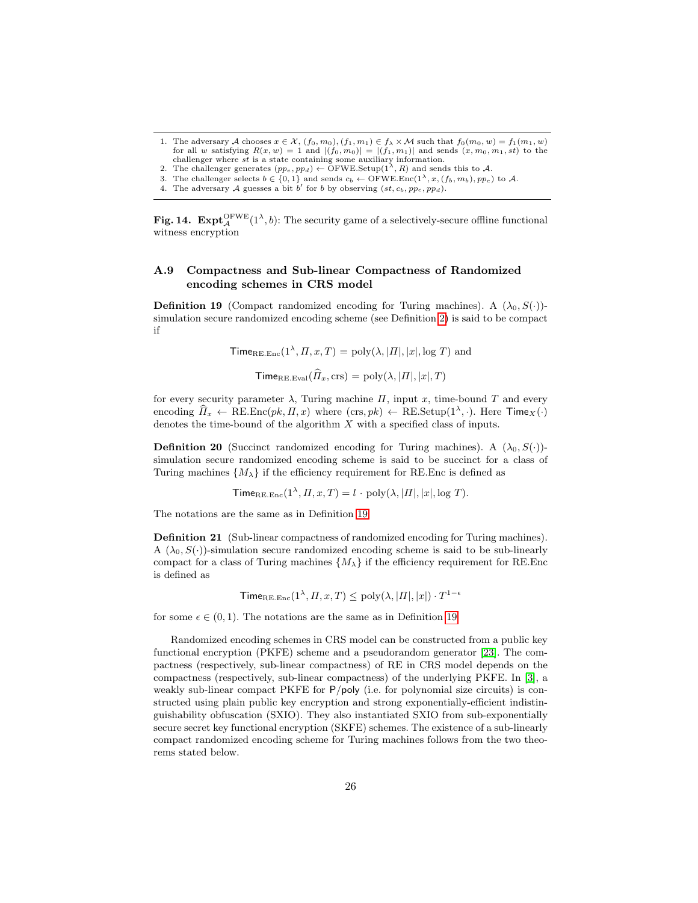- 1. The adversary A chooses  $x \in \mathcal{X}$ ,  $(f_0, m_0)$ ,  $(f_1, m_1) \in f_\lambda \times \mathcal{M}$  such that  $f_0(m_0, w) = f_1(m_1, w)$ for all w satisfying  $R(x, w) = 1$  and  $|(f_0, m_0)| = |(f_1, m_1)|$  and sends  $(x, m_0, m_1, st)$  to the challenger where st is a state containing some auxiliary information.<br>2. The challenger generates  $(pp_e, pp_d) \leftarrow \text{OFWE}.$  Setup(1<sup> $\lambda$ </sup>, *R*) and sends this to *A*.
- 
- 3. The challenger selects  $b \in \{0, 1\}$  and sends  $c_b \leftarrow \text{OFWE}.\text{Enc}(1^{\lambda}, x, (f_b, m_b), pp_e)$  to A.<br>4. The adversary A guesses a bit b' for b by observing  $(st, c_b, pp_e, pp_d)$ .
- 

Fig. 14.  $\text{Expt}_{\mathcal{A}}^{\text{OFWE}}(1^{\lambda}, b)$ : The security game of a selectively-secure offline functional witness encryption

## A.9 Compactness and Sub-linear Compactness of Randomized encoding schemes in CRS model

<span id="page-25-2"></span>**Definition 19** (Compact randomized encoding for Turing machines). A  $(\lambda_0, S(\cdot))$ simulation secure randomized encoding scheme (see Definition [2\)](#page-4-1) is said to be compact if

 $\text{Time}_{\text{RE.Enc}}(1^{\lambda}, \Pi, x, T) = \text{poly}(\lambda, |\Pi|, |x|, \log T)$  and

<span id="page-25-1"></span> $\text{Time}_{\text{RE.Eval}}(\widehat{H}_x, \text{crs}) = \text{poly}(\lambda, |H|, |x|, T)$ 

for every security parameter  $\lambda$ , Turing machine  $\Pi$ , input x, time-bound T and every encoding  $\widehat{H}_x \leftarrow \text{RE}.\text{Enc}(pk, \Pi, x)$  where  $(\text{crs}, pk) \leftarrow \text{RE}.\text{Setup}(1^{\lambda}, \cdot)$ . Here  $\text{Time}_X(\cdot)$ denotes the time-bound of the algorithm X with a specified class of inputs.

**Definition 20** (Succinct randomized encoding for Turing machines). A  $(\lambda_0, S(\cdot))$ simulation secure randomized encoding scheme is said to be succinct for a class of Turing machines  $\{M_{\lambda}\}\$ if the efficiency requirement for RE. Enc is defined as

 $\text{Time}_{\text{RE.Enc}}(1^{\lambda}, \Pi, x, T) = l \cdot \text{poly}(\lambda, |H|, |x|, \log T).$ 

The notations are the same as in Definition [19](#page-25-2)

<span id="page-25-0"></span>Definition 21 (Sub-linear compactness of randomized encoding for Turing machines). A  $(\lambda_0, S(\cdot))$ -simulation secure randomized encoding scheme is said to be sub-linearly compact for a class of Turing machines  $\{M_{\lambda}\}\$ if the efficiency requirement for RE.Enc is defined as

 $\text{Time}_{\text{RE.Enc}}(1^{\lambda}, \Pi, x, T) \le \text{poly}(\lambda, |\Pi|, |x|) \cdot T^{1-\epsilon}$ 

for some  $\epsilon \in (0, 1)$ . The notations are the same as in Definition [19](#page-25-2)

Randomized encoding schemes in CRS model can be constructed from a public key functional encryption (PKFE) scheme and a pseudorandom generator [\[23\]](#page-18-2). The compactness (respectively, sub-linear compactness) of RE in CRS model depends on the compactness (respectively, sub-linear compactness) of the underlying PKFE. In [\[3\]](#page-16-5), a weakly sub-linear compact PKFE for P/poly (i.e. for polynomial size circuits) is constructed using plain public key encryption and strong exponentially-efficient indistinguishability obfuscation (SXIO). They also instantiated SXIO from sub-exponentially secure secret key functional encryption (SKFE) schemes. The existence of a sub-linearly compact randomized encoding scheme for Turing machines follows from the two theorems stated below.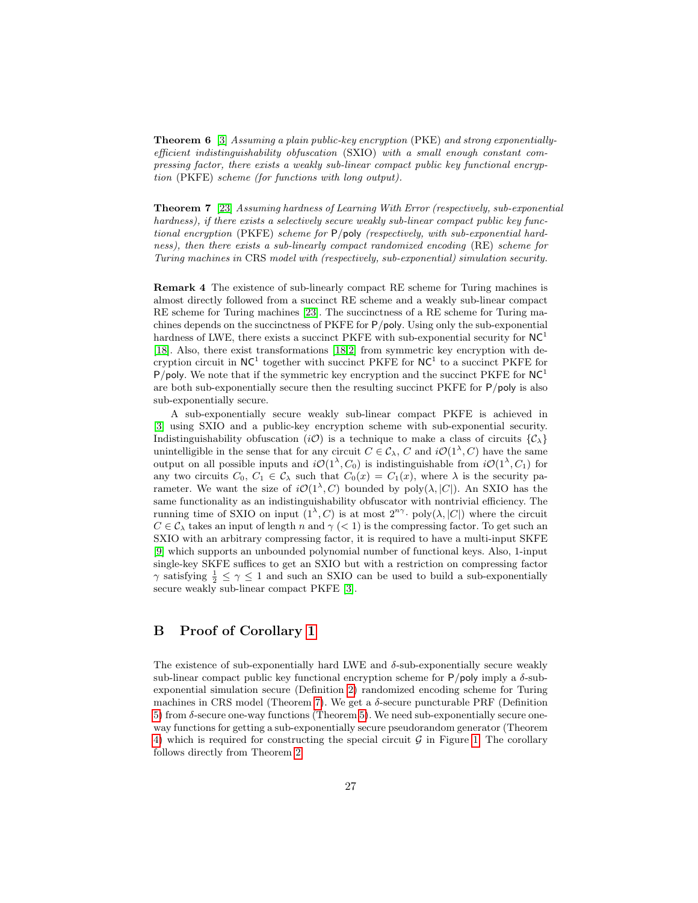Theorem 6 [\[3\]](#page-16-5) Assuming a plain public-key encryption (PKE) and strong exponentiallyefficient indistinguishability obfuscation (SXIO) with a small enough constant compressing factor, there exists a weakly sub-linear compact public key functional encryption (PKFE) scheme (for functions with long output).

<span id="page-26-1"></span>Theorem 7 [\[23\]](#page-18-2) Assuming hardness of Learning With Error (respectively, sub-exponential hardness), if there exists a selectively secure weakly sub-linear compact public key functional encryption (PKFE) scheme for P/poly (respectively, with sub-exponential hardness), then there exists a sub-linearly compact randomized encoding (RE) scheme for Turing machines in CRS model with (respectively, sub-exponential) simulation security.

Remark 4 The existence of sub-linearly compact RE scheme for Turing machines is almost directly followed from a succinct RE scheme and a weakly sub-linear compact RE scheme for Turing machines [\[23\]](#page-18-2). The succinctness of a RE scheme for Turing machines depends on the succinctness of PKFE for P/poly. Using only the sub-exponential hardness of LWE, there exists a succinct PKFE with sub-exponential security for  $NC<sup>1</sup>$ [\[18\]](#page-17-15). Also, there exist transformations [\[18,](#page-17-15)[2\]](#page-16-6) from symmetric key encryption with decryption circuit in  $NC<sup>1</sup>$  together with succinct PKFE for  $NC<sup>1</sup>$  to a succinct PKFE for P/poly. We note that if the symmetric key encryption and the succinct PKFE for  $NC<sup>1</sup>$ are both sub-exponentially secure then the resulting succinct  $P KFE$  for  $P/poly$  is also sub-exponentially secure.

A sub-exponentially secure weakly sub-linear compact PKFE is achieved in [\[3\]](#page-16-5) using SXIO and a public-key encryption scheme with sub-exponential security. Indistinguishability obfuscation (iO) is a technique to make a class of circuits  $\{\mathcal{C}_\lambda\}$ unintelligible in the sense that for any circuit  $C \in \mathcal{C}_{\lambda}$ , C and  $i\mathcal{O}(1^{\lambda}, C)$  have the same output on all possible inputs and  $i\mathcal{O}(1^{\lambda}, C_0)$  is indistinguishable from  $i\mathcal{O}(1^{\lambda}, C_1)$  for any two circuits  $C_0, C_1 \in C_\lambda$  such that  $C_0(x) = C_1(x)$ , where  $\lambda$  is the security parameter. We want the size of  $i\mathcal{O}(1^{\lambda}, C)$  bounded by poly $(\lambda, |C|)$ . An SXIO has the same functionality as an indistinguishability obfuscator with nontrivial efficiency. The running time of SXIO on input  $(1^{\lambda}, C)$  is at most  $2^{n\gamma}$  poly $(\lambda, |C|)$  where the circuit  $C \in \mathcal{C}_{\lambda}$  takes an input of length n and  $\gamma$  (< 1) is the compressing factor. To get such an SXIO with an arbitrary compressing factor, it is required to have a multi-input SKFE [\[9\]](#page-17-16) which supports an unbounded polynomial number of functional keys. Also, 1-input single-key SKFE suffices to get an SXIO but with a restriction on compressing factor  $\gamma$  satisfying  $\frac{1}{2} \leq \gamma \leq 1$  and such an SXIO can be used to build a sub-exponentially secure weakly sub-linear compact PKFE [\[3\]](#page-16-5).

## <span id="page-26-0"></span>B Proof of Corollary [1](#page-9-2)

The existence of sub-exponentially hard LWE and  $\delta$ -sub-exponentially secure weakly sub-linear compact public key functional encryption scheme for  $P/poly$  imply a  $\delta$ -subexponential simulation secure (Definition [2\)](#page-4-1) randomized encoding scheme for Turing machines in CRS model (Theorem [7\)](#page-26-1). We get a  $\delta$ -secure puncturable PRF (Definition [5\)](#page-18-4) from  $\delta$ -secure one-way functions (Theorem [5\)](#page-19-2). We need sub-exponentially secure oneway functions for getting a sub-exponentially secure pseudorandom generator (Theorem [4\)](#page-19-3) which is required for constructing the special circuit  $\mathcal G$  in Figure [1.](#page-5-1) The corollary follows directly from Theorem [2.](#page-8-1)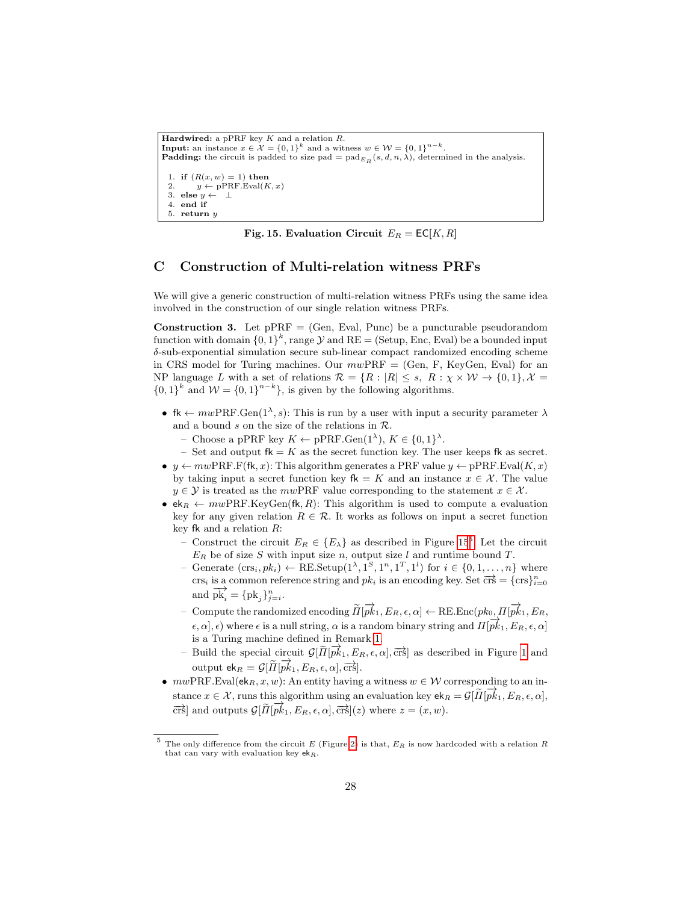```
Hardwired: a pPRF key K and a relation R.
Input: an instance x \in \mathcal{X} = \{0,1\}^k and a witness w \in \mathcal{W} = \{0,1\}^{n-k}.
Padding: the circuit is padded to size pad = \text{pad}_{E_R}(s, d, n, \lambda), determined in the analysis.
 1. if (R(x, w) = 1) then<br>2. y \leftarrow pPRF.Eval(K)y \leftarrow pPRF.Eval(K, x)3. else y \leftarrow \perp4. end if
 5. return y
```
Fig. 15. Evaluation Circuit  $E_R = \mathsf{EC}[K, R]$ 

## <span id="page-27-1"></span><span id="page-27-0"></span>C Construction of Multi-relation witness PRFs

We will give a generic construction of multi-relation witness PRFs using the same idea involved in the construction of our single relation witness PRFs.

**Construction 3.** Let  $pPRF = (Gen, Eva, Punc)$  be a puncturable pseudorandom function with domain  $\{0,1\}^k$ , range  $\mathcal Y$  and  $RE =$  (Setup, Enc, Eval) be a bounded input δ-sub-exponential simulation secure sub-linear compact randomized encoding scheme in CRS model for Turing machines. Our  $mwPRF = (Gen, F, KeyGen, Eval)$  for an NP language L with a set of relations  $\mathcal{R} = \{R : |R| \leq s, R : \chi \times W \to \{0,1\}, \mathcal{X} =$  ${0,1}^k$  and  $W = {0,1}^{n-k}$ , is given by the following algorithms.

- fk  $\leftarrow m w PRF \cdot \text{Gen}(1^{\lambda}, s)$ : This is run by a user with input a security parameter  $\lambda$ and a bound  $s$  on the size of the relations in  $R$ .
	- Choose a pPRF key  $K \leftarrow \text{pPRF.Gen}(1^{\lambda}), K \in \{0,1\}^{\lambda}.$
	- Set and output  $fk = K$  as the secret function key. The user keeps fk as secret.
- $y \leftarrow mwp\text{RF.F(fk, } x)$ : This algorithm generates a PRF value  $y \leftarrow p\text{PRF.Eval}(K, x)$ by taking input a secret function key  $f_k = K$  and an instance  $x \in \mathcal{X}$ . The value  $y \in \mathcal{Y}$  is treated as the mwPRF value corresponding to the statement  $x \in \mathcal{X}$ .
- $ek_R \leftarrow mwp$ RF.KeyGen(fk, R): This algorithm is used to compute a evaluation key for any given relation  $R \in \mathcal{R}$ . It works as follows on input a secret function key fk and a relation  $R$ :
	- Construct the circuit  $E_R \in \{E_\lambda\}$  as described in Figure [15](#page-27-1)<sup>[5](#page-27-2)</sup>. Let the circuit  $E_R$  be of size S with input size n, output size l and runtime bound T.
	- Generate  $(crs_i, pk_i) \leftarrow \text{RE}.\text{Setup}(1^{\lambda}, 1^S, 1^n, 1^T, 1^l)$  for  $i \in \{0, 1, ..., n\}$  where crs<sub>i</sub> is a common reference string and  $pk_i$  is an encoding key. Set  $\overrightarrow{crs} = \{cs\}_{i=0}^n$ and  $\overrightarrow{pk_i} = {pk_j}_{j=i}^n$ .
	- $-$  Compute the randomized encoding  $\widetilde{H}[\overrightarrow{pk}_1, E_R, \epsilon, \alpha] \leftarrow \text{RE}.\text{Enc}(pk_0, \overrightarrow{H}[\overrightarrow{pk}_1, E_R, \epsilon])$  $\epsilon, \alpha, \epsilon)$  where  $\epsilon$  is a null string,  $\alpha$  is a random binary string and  $\Pi[\vec{pk}_1, E_R, \epsilon, \alpha]$ is a Turing machine defined in Remark [1.](#page-4-0)
	- Build the special circuit  $\mathcal{G}[\tilde{\Pi}[\vec{pk}_1, E_R, \epsilon, \alpha], \vec{crs}]$  as described in Figure [1](#page-5-1) and output  $ek_R = \mathcal{G}[\tilde{\Pi}[\overrightarrow{pk}_1, E_R, \epsilon, \alpha], \overrightarrow{crs}].$
- $mwPRF.Eval(ek<sub>R</sub>, x, w)$ : An entity having a witness  $w \in W$  corresponding to an instance  $x \in \mathcal{X}$ , runs this algorithm using an evaluation key  $ek_R = \mathcal{G}[\tilde{H}[\vec{pk}_1, E_R, \epsilon, \alpha],$  $\frac{1}{\pi}$  and outputs  $G[\tilde{H}[\vec{pk}_1, E_R, \epsilon, \alpha], \vec{crs}](z)$  where  $z = (x, w)$ .

<span id="page-27-2"></span>The only difference from the circuit E (Figure [2\)](#page-7-0) is that,  $E_R$  is now hardcoded with a relation R that can vary with evaluation key  $ek_R$ .